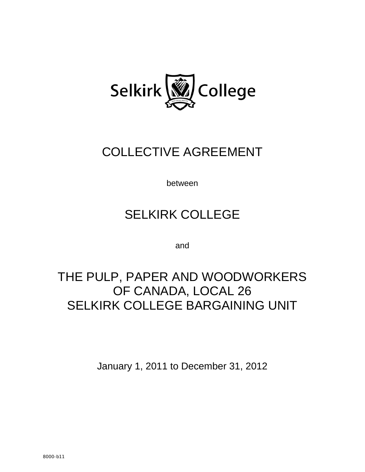

# COLLECTIVE AGREEMENT

between

# SELKIRK COLLEGE

and

# THE PULP, PAPER AND WOODWORKERS OF CANADA, LOCAL 26 SELKIRK COLLEGE BARGAINING UNIT

January 1, 2011 to December 31, 2012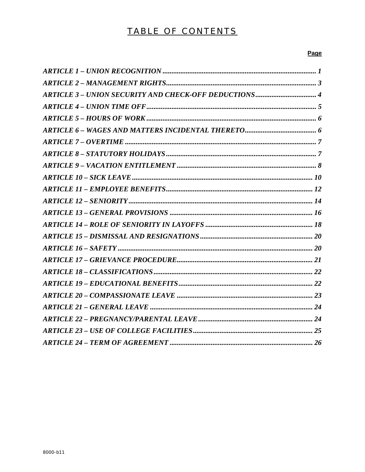# TABLE OF CONTENTS

# Page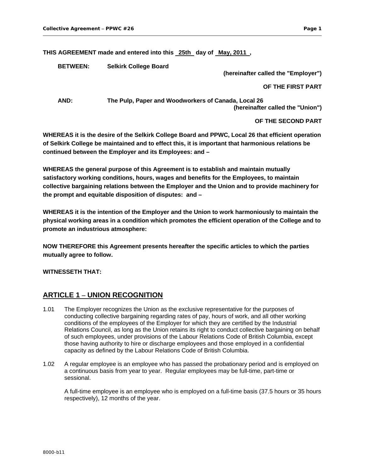**THIS AGREEMENT made and entered into this 25th day of May, 2011 ,** 

**BETWEEN: Selkirk College Board** 

**(hereinafter called the "Employer")** 

#### **OF THE FIRST PART**

**AND: The Pulp, Paper and Woodworkers of Canada, Local 26 (hereinafter called the "Union")** 

#### **OF THE SECOND PART**

**WHEREAS it is the desire of the Selkirk College Board and PPWC, Local 26 that efficient operation of Selkirk College be maintained and to effect this, it is important that harmonious relations be continued between the Employer and its Employees: and –** 

**WHEREAS the general purpose of this Agreement is to establish and maintain mutually satisfactory working conditions, hours, wages and benefits for the Employees, to maintain collective bargaining relations between the Employer and the Union and to provide machinery for the prompt and equitable disposition of disputes: and –** 

**WHEREAS it is the intention of the Employer and the Union to work harmoniously to maintain the physical working areas in a condition which promotes the efficient operation of the College and to promote an industrious atmosphere:** 

**NOW THEREFORE this Agreement presents hereafter the specific articles to which the parties mutually agree to follow.** 

**WITNESSETH THAT:**

## **ARTICLE 1 – UNION RECOGNITION**

- 1.01 The Employer recognizes the Union as the exclusive representative for the purposes of conducting collective bargaining regarding rates of pay, hours of work, and all other working conditions of the employees of the Employer for which they are certified by the Industrial Relations Council, as long as the Union retains its right to conduct collective bargaining on behalf of such employees, under provisions of the Labour Relations Code of British Columbia, except those having authority to hire or discharge employees and those employed in a confidential capacity as defined by the Labour Relations Code of British Columbia.
- 1.02 A regular employee is an employee who has passed the probationary period and is employed on a continuous basis from year to year. Regular employees may be full-time, part-time or sessional.

A full-time employee is an employee who is employed on a full-time basis (37.5 hours or 35 hours respectively), 12 months of the year.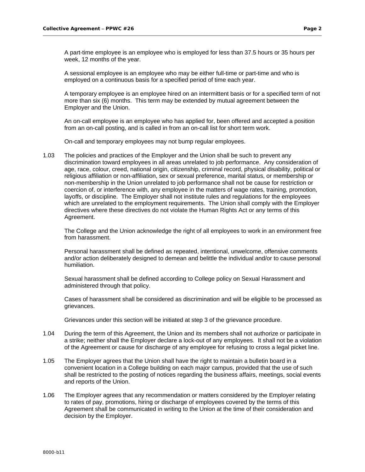A part-time employee is an employee who is employed for less than 37.5 hours or 35 hours per week, 12 months of the year.

A sessional employee is an employee who may be either full-time or part-time and who is employed on a continuous basis for a specified period of time each year.

A temporary employee is an employee hired on an intermittent basis or for a specified term of not more than six (6) months. This term may be extended by mutual agreement between the Employer and the Union.

An on-call employee is an employee who has applied for, been offered and accepted a position from an on-call posting, and is called in from an on-call list for short term work.

On-call and temporary employees may not bump regular employees.

1.03 The policies and practices of the Employer and the Union shall be such to prevent any discrimination toward employees in all areas unrelated to job performance. Any consideration of age, race, colour, creed, national origin, citizenship, criminal record, physical disability, political or religious affiliation or non-affiliation, sex or sexual preference, marital status, or membership or non-membership in the Union unrelated to job performance shall not be cause for restriction or coercion of, or interference with, any employee in the matters of wage rates, training, promotion, layoffs, or discipline. The Employer shall not institute rules and regulations for the employees which are unrelated to the employment requirements. The Union shall comply with the Employer directives where these directives do not violate the Human Rights Act or any terms of this Agreement.

The College and the Union acknowledge the right of all employees to work in an environment free from harassment.

Personal harassment shall be defined as repeated, intentional, unwelcome, offensive comments and/or action deliberately designed to demean and belittle the individual and/or to cause personal humiliation.

Sexual harassment shall be defined according to College policy on Sexual Harassment and administered through that policy.

Cases of harassment shall be considered as discrimination and will be eligible to be processed as grievances.

Grievances under this section will be initiated at step 3 of the grievance procedure.

- 1.04 During the term of this Agreement, the Union and its members shall not authorize or participate in a strike; neither shall the Employer declare a lock-out of any employees. It shall not be a violation of the Agreement or cause for discharge of any employee for refusing to cross a legal picket line.
- 1.05 The Employer agrees that the Union shall have the right to maintain a bulletin board in a convenient location in a College building on each major campus, provided that the use of such shall be restricted to the posting of notices regarding the business affairs, meetings, social events and reports of the Union.
- 1.06 The Employer agrees that any recommendation or matters considered by the Employer relating to rates of pay, promotions, hiring or discharge of employees covered by the terms of this Agreement shall be communicated in writing to the Union at the time of their consideration and decision by the Employer.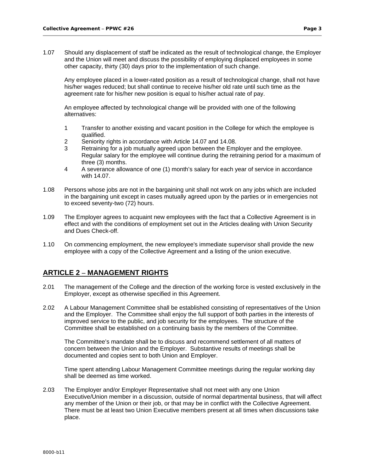1.07 Should any displacement of staff be indicated as the result of technological change, the Employer and the Union will meet and discuss the possibility of employing displaced employees in some other capacity, thirty (30) days prior to the implementation of such change.

Any employee placed in a lower-rated position as a result of technological change, shall not have his/her wages reduced; but shall continue to receive his/her old rate until such time as the agreement rate for his/her new position is equal to his/her actual rate of pay.

An employee affected by technological change will be provided with one of the following alternatives:

- 1 Transfer to another existing and vacant position in the College for which the employee is qualified.
- 2 Seniority rights in accordance with Article 14.07 and 14.08.
- 3 Retraining for a job mutually agreed upon between the Employer and the employee. Regular salary for the employee will continue during the retraining period for a maximum of three (3) months.
- 4 A severance allowance of one (1) month's salary for each year of service in accordance with 14.07.
- 1.08 Persons whose jobs are not in the bargaining unit shall not work on any jobs which are included in the bargaining unit except in cases mutually agreed upon by the parties or in emergencies not to exceed seventy-two (72) hours.
- 1.09 The Employer agrees to acquaint new employees with the fact that a Collective Agreement is in effect and with the conditions of employment set out in the Articles dealing with Union Security and Dues Check-off.
- 1.10 On commencing employment, the new employee's immediate supervisor shall provide the new employee with a copy of the Collective Agreement and a listing of the union executive.

## **ARTICLE 2 – MANAGEMENT RIGHTS**

- 2.01 The management of the College and the direction of the working force is vested exclusively in the Employer, except as otherwise specified in this Agreement.
- 2.02 A Labour Management Committee shall be established consisting of representatives of the Union and the Employer. The Committee shall enjoy the full support of both parties in the interests of improved service to the public, and job security for the employees. The structure of the Committee shall be established on a continuing basis by the members of the Committee.

The Committee's mandate shall be to discuss and recommend settlement of all matters of concern between the Union and the Employer. Substantive results of meetings shall be documented and copies sent to both Union and Employer.

Time spent attending Labour Management Committee meetings during the regular working day shall be deemed as time worked.

2.03 The Employer and/or Employer Representative shall not meet with any one Union Executive/Union member in a discussion, outside of normal departmental business, that will affect any member of the Union or their job, or that may be in conflict with the Collective Agreement. There must be at least two Union Executive members present at all times when discussions take place.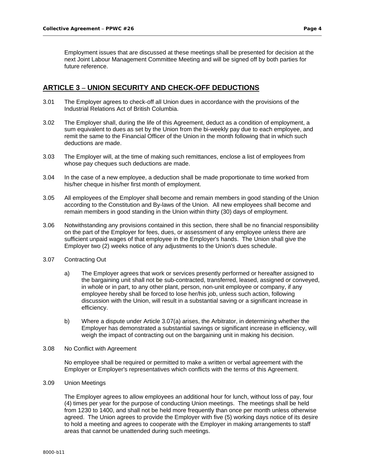Employment issues that are discussed at these meetings shall be presented for decision at the next Joint Labour Management Committee Meeting and will be signed off by both parties for future reference.

## **ARTICLE 3 – UNION SECURITY AND CHECK-OFF DEDUCTIONS**

- 3.01 The Employer agrees to check-off all Union dues in accordance with the provisions of the Industrial Relations Act of British Columbia.
- 3.02 The Employer shall, during the life of this Agreement, deduct as a condition of employment, a sum equivalent to dues as set by the Union from the bi-weekly pay due to each employee, and remit the same to the Financial Officer of the Union in the month following that in which such deductions are made.
- 3.03 The Employer will, at the time of making such remittances, enclose a list of employees from whose pay cheques such deductions are made.
- 3.04 In the case of a new employee, a deduction shall be made proportionate to time worked from his/her cheque in his/her first month of employment.
- 3.05 All employees of the Employer shall become and remain members in good standing of the Union according to the Constitution and By-laws of the Union. All new employees shall become and remain members in good standing in the Union within thirty (30) days of employment.
- 3.06 Notwithstanding any provisions contained in this section, there shall be no financial responsibility on the part of the Employer for fees, dues, or assessment of any employee unless there are sufficient unpaid wages of that employee in the Employer's hands. The Union shall give the Employer two (2) weeks notice of any adjustments to the Union's dues schedule.
- 3.07 Contracting Out
	- a) The Employer agrees that work or services presently performed or hereafter assigned to the bargaining unit shall not be sub-contracted, transferred, leased, assigned or conveyed, in whole or in part, to any other plant, person, non-unit employee or company, if any employee hereby shall be forced to lose her/his job, unless such action, following discussion with the Union, will result in a substantial saving or a significant increase in efficiency.
	- b) Where a dispute under Article 3.07(a) arises, the Arbitrator, in determining whether the Employer has demonstrated a substantial savings or significant increase in efficiency, will weigh the impact of contracting out on the bargaining unit in making his decision.
- 3.08 No Conflict with Agreement

No employee shall be required or permitted to make a written or verbal agreement with the Employer or Employer's representatives which conflicts with the terms of this Agreement.

3.09 Union Meetings

The Employer agrees to allow employees an additional hour for lunch, without loss of pay, four (4) times per year for the purpose of conducting Union meetings. The meetings shall be held from 1230 to 1400, and shall not be held more frequently than once per month unless otherwise agreed. The Union agrees to provide the Employer with five (5) working days notice of its desire to hold a meeting and agrees to cooperate with the Employer in making arrangements to staff areas that cannot be unattended during such meetings.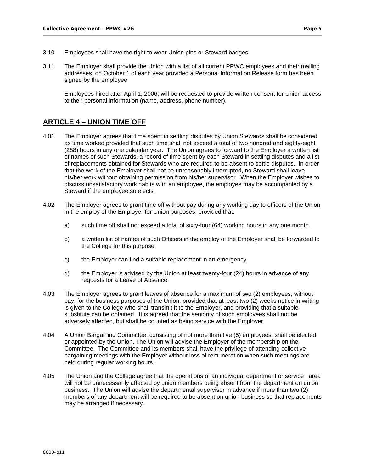- 3.10 Employees shall have the right to wear Union pins or Steward badges.
- 3.11 The Employer shall provide the Union with a list of all current PPWC employees and their mailing addresses, on October 1 of each year provided a Personal Information Release form has been signed by the employee.

Employees hired after April 1, 2006, will be requested to provide written consent for Union access to their personal information (name, address, phone number).

## **ARTICLE 4 – UNION TIME OFF**

- 4.01 The Employer agrees that time spent in settling disputes by Union Stewards shall be considered as time worked provided that such time shall not exceed a total of two hundred and eighty-eight (288) hours in any one calendar year. The Union agrees to forward to the Employer a written list of names of such Stewards, a record of time spent by each Steward in settling disputes and a list of replacements obtained for Stewards who are required to be absent to settle disputes. In order that the work of the Employer shall not be unreasonably interrupted, no Steward shall leave his/her work without obtaining permission from his/her supervisor. When the Employer wishes to discuss unsatisfactory work habits with an employee, the employee may be accompanied by a Steward if the employee so elects.
- 4.02 The Employer agrees to grant time off without pay during any working day to officers of the Union in the employ of the Employer for Union purposes, provided that:
	- a) such time off shall not exceed a total of sixty-four (64) working hours in any one month.
	- b) a written list of names of such Officers in the employ of the Employer shall be forwarded to the College for this purpose.
	- c) the Employer can find a suitable replacement in an emergency.
	- d) the Employer is advised by the Union at least twenty-four (24) hours in advance of any requests for a Leave of Absence.
- 4.03 The Employer agrees to grant leaves of absence for a maximum of two (2) employees, without pay, for the business purposes of the Union, provided that at least two (2) weeks notice in writing is given to the College who shall transmit it to the Employer, and providing that a suitable substitute can be obtained. It is agreed that the seniority of such employees shall not be adversely affected, but shall be counted as being service with the Employer.
- 4.04 A Union Bargaining Committee, consisting of not more than five (5) employees, shall be elected or appointed by the Union. The Union will advise the Employer of the membership on the Committee. The Committee and its members shall have the privilege of attending collective bargaining meetings with the Employer without loss of remuneration when such meetings are held during regular working hours.
- 4.05 The Union and the College agree that the operations of an individual department or service area will not be unnecessarily affected by union members being absent from the department on union business. The Union will advise the departmental supervisor in advance if more than two (2) members of any department will be required to be absent on union business so that replacements may be arranged if necessary.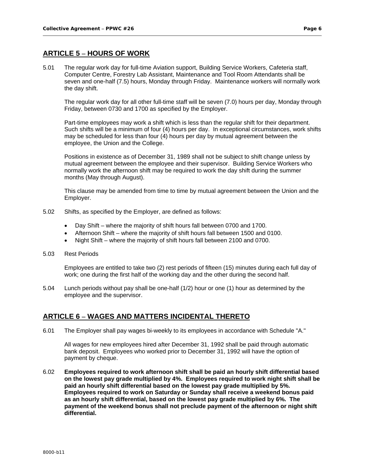## **ARTICLE 5 – HOURS OF WORK**

5.01 The regular work day for full-time Aviation support, Building Service Workers, Cafeteria staff, Computer Centre, Forestry Lab Assistant, Maintenance and Tool Room Attendants shall be seven and one-half (7.5) hours, Monday through Friday. Maintenance workers will normally work the day shift.

The regular work day for all other full-time staff will be seven (7.0) hours per day, Monday through Friday, between 0730 and 1700 as specified by the Employer.

Part-time employees may work a shift which is less than the regular shift for their department. Such shifts will be a minimum of four (4) hours per day. In exceptional circumstances, work shifts may be scheduled for less than four (4) hours per day by mutual agreement between the employee, the Union and the College.

Positions in existence as of December 31, 1989 shall not be subject to shift change unless by mutual agreement between the employee and their supervisor. Building Service Workers who normally work the afternoon shift may be required to work the day shift during the summer months (May through August).

This clause may be amended from time to time by mutual agreement between the Union and the Employer.

- 5.02 Shifts, as specified by the Employer, are defined as follows:
	- Day Shift where the majority of shift hours fall between 0700 and 1700.
	- Afternoon Shift where the majority of shift hours fall between 1500 and 0100.
	- Night Shift where the majority of shift hours fall between 2100 and 0700.
- 5.03 Rest Periods

Employees are entitled to take two (2) rest periods of fifteen (15) minutes during each full day of work; one during the first half of the working day and the other during the second half.

5.04 Lunch periods without pay shall be one-half (1/2) hour or one (1) hour as determined by the employee and the supervisor.

## **ARTICLE 6 – WAGES AND MATTERS INCIDENTAL THERETO**

6.01 The Employer shall pay wages bi-weekly to its employees in accordance with Schedule "A."

All wages for new employees hired after December 31, 1992 shall be paid through automatic bank deposit. Employees who worked prior to December 31, 1992 will have the option of payment by cheque.

6.02 **Employees required to work afternoon shift shall be paid an hourly shift differential based on the lowest pay grade multiplied by 4%. Employees required to work night shift shall be paid an hourly shift differential based on the lowest pay grade multiplied by 5%. Employees required to work on Saturday or Sunday shall receive a weekend bonus paid as an hourly shift differential, based on the lowest pay grade multiplied by 6%. The payment of the weekend bonus shall not preclude payment of the afternoon or night shift differential.**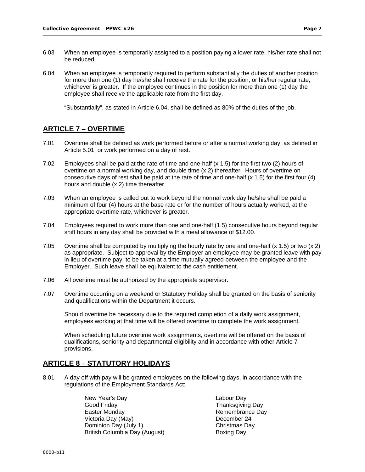- 6.03 When an employee is temporarily assigned to a position paying a lower rate, his/her rate shall not be reduced.
- 6.04 When an employee is temporarily required to perform substantially the duties of another position for more than one (1) day he/she shall receive the rate for the position, or his/her regular rate, whichever is greater. If the employee continues in the position for more than one (1) day the employee shall receive the applicable rate from the first day.

"Substantially", as stated in Article 6.04, shall be defined as 80% of the duties of the job.

## **ARTICLE 7 – OVERTIME**

- 7.01 Overtime shall be defined as work performed before or after a normal working day, as defined in Article 5.01, or work performed on a day of rest.
- 7.02 Employees shall be paid at the rate of time and one-half (x 1.5) for the first two (2) hours of overtime on a normal working day, and double time (x 2) thereafter. Hours of overtime on consecutive days of rest shall be paid at the rate of time and one-half (x 1.5) for the first four (4) hours and double (x 2) time thereafter.
- 7.03 When an employee is called out to work beyond the normal work day he/she shall be paid a minimum of four (4) hours at the base rate or for the number of hours actually worked, at the appropriate overtime rate, whichever is greater.
- 7.04 Employees required to work more than one and one-half (1.5) consecutive hours beyond regular shift hours in any day shall be provided with a meal allowance of \$12.00.
- 7.05 Overtime shall be computed by multiplying the hourly rate by one and one-half (x 1.5) or two (x 2) as appropriate. Subject to approval by the Employer an employee may be granted leave with pay in lieu of overtime pay, to be taken at a time mutually agreed between the employee and the Employer. Such leave shall be equivalent to the cash entitlement.
- 7.06 All overtime must be authorized by the appropriate supervisor.
- 7.07 Overtime occurring on a weekend or Statutory Holiday shall be granted on the basis of seniority and qualifications within the Department it occurs.

Should overtime be necessary due to the required completion of a daily work assignment, employees working at that time will be offered overtime to complete the work assignment.

When scheduling future overtime work assignments, overtime will be offered on the basis of qualifications, seniority and departmental eligibility and in accordance with other Article 7 provisions.

## **ARTICLE 8 – STATUTORY HOLIDAYS**

8.01 A day off with pay will be granted employees on the following days, in accordance with the regulations of the Employment Standards Act:

> New Year's Day **Labour Day** Good Friday **Thanksgiving Day** Easter Monday **Remembrance** Day Victoria Day (May) December 24 Dominion Day (July 1) Christmas Day British Columbia Day (August) Boxing Day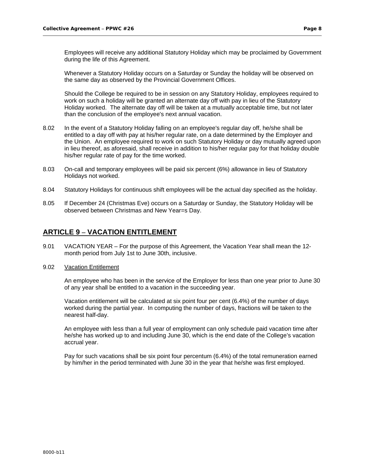Employees will receive any additional Statutory Holiday which may be proclaimed by Government during the life of this Agreement.

Whenever a Statutory Holiday occurs on a Saturday or Sunday the holiday will be observed on the same day as observed by the Provincial Government Offices.

Should the College be required to be in session on any Statutory Holiday, employees required to work on such a holiday will be granted an alternate day off with pay in lieu of the Statutory Holiday worked. The alternate day off will be taken at a mutually acceptable time, but not later than the conclusion of the employee's next annual vacation.

- 8.02 In the event of a Statutory Holiday falling on an employee's regular day off, he/she shall be entitled to a day off with pay at his/her regular rate, on a date determined by the Employer and the Union. An employee required to work on such Statutory Holiday or day mutually agreed upon in lieu thereof, as aforesaid, shall receive in addition to his/her regular pay for that holiday double his/her regular rate of pay for the time worked.
- 8.03 On-call and temporary employees will be paid six percent (6%) allowance in lieu of Statutory Holidays not worked.
- 8.04 Statutory Holidays for continuous shift employees will be the actual day specified as the holiday.
- 8.05 If December 24 (Christmas Eve) occurs on a Saturday or Sunday, the Statutory Holiday will be observed between Christmas and New Year=s Day.

#### **ARTICLE 9 – VACATION ENTITLEMENT**

- 9.01 VACATION YEAR For the purpose of this Agreement, the Vacation Year shall mean the 12 month period from July 1st to June 30th, inclusive.
- 9.02 Vacation Entitlement

An employee who has been in the service of the Employer for less than one year prior to June 30 of any year shall be entitled to a vacation in the succeeding year.

Vacation entitlement will be calculated at six point four per cent (6.4%) of the number of days worked during the partial year. In computing the number of days, fractions will be taken to the nearest half-day.

An employee with less than a full year of employment can only schedule paid vacation time after he/she has worked up to and including June 30, which is the end date of the College's vacation accrual year.

Pay for such vacations shall be six point four percentum (6.4%) of the total remuneration earned by him/her in the period terminated with June 30 in the year that he/she was first employed.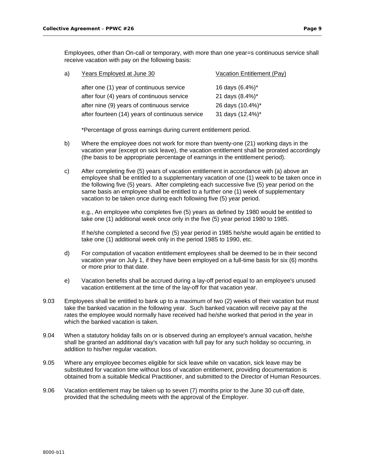| a) | Years Employed at June 30                       | Vacation Entitlement (Pay) |
|----|-------------------------------------------------|----------------------------|
|    | after one (1) year of continuous service        | 16 days $(6.4\%)^*$        |
|    | after four (4) years of continuous service      | 21 days (8.4%)*            |
|    | after nine (9) years of continuous service      | 26 days (10.4%)*           |
|    | after fourteen (14) years of continuous service | 31 days (12.4%)*           |

\*Percentage of gross earnings during current entitlement period.

- b) Where the employee does not work for more than twenty-one (21) working days in the vacation year (except on sick leave), the vacation entitlement shall be prorated accordingly (the basis to be appropriate percentage of earnings in the entitlement period).
- c) After completing five (5) years of vacation entitlement in accordance with (a) above an employee shall be entitled to a supplementary vacation of one (1) week to be taken once in the following five (5) years. After completing each successive five (5) year period on the same basis an employee shall be entitled to a further one (1) week of supplementary vacation to be taken once during each following five (5) year period.

e.g., An employee who completes five (5) years as defined by 1980 would be entitled to take one (1) additional week once only in the five (5) year period 1980 to 1985.

If he/she completed a second five (5) year period in 1985 he/she would again be entitled to take one (1) additional week only in the period 1985 to 1990, etc.

- d) For computation of vacation entitlement employees shall be deemed to be in their second vacation year on July 1, if they have been employed on a full-time basis for six (6) months or more prior to that date.
- e) Vacation benefits shall be accrued during a lay-off period equal to an employee's unused vacation entitlement at the time of the lay-off for that vacation year.
- 9.03 Employees shall be entitled to bank up to a maximum of two (2) weeks of their vacation but must take the banked vacation in the following year. Such banked vacation will receive pay at the rates the employee would normally have received had he/she worked that period in the year in which the banked vacation is taken.
- 9.04 When a statutory holiday falls on or is observed during an employee's annual vacation, he/she shall be granted an additional day's vacation with full pay for any such holiday so occurring, in addition to his/her regular vacation.
- 9.05 Where any employee becomes eligible for sick leave while on vacation, sick leave may be substituted for vacation time without loss of vacation entitlement, providing documentation is obtained from a suitable Medical Practitioner, and submitted to the Director of Human Resources.
- 9.06 Vacation entitlement may be taken up to seven (7) months prior to the June 30 cut-off date, provided that the scheduling meets with the approval of the Employer.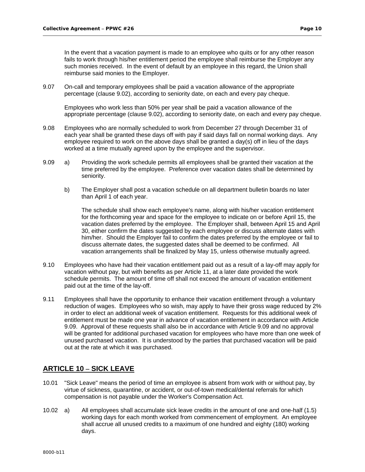In the event that a vacation payment is made to an employee who quits or for any other reason fails to work through his/her entitlement period the employee shall reimburse the Employer any such monies received. In the event of default by an employee in this regard, the Union shall reimburse said monies to the Employer.

9.07 On-call and temporary employees shall be paid a vacation allowance of the appropriate percentage (clause 9.02), according to seniority date, on each and every pay cheque.

Employees who work less than 50% per year shall be paid a vacation allowance of the appropriate percentage (clause 9.02), according to seniority date, on each and every pay cheque.

- 9.08 Employees who are normally scheduled to work from December 27 through December 31 of each year shall be granted these days off with pay if said days fall on normal working days. Any employee required to work on the above days shall be granted a day(s) off in lieu of the days worked at a time mutually agreed upon by the employee and the supervisor.
- 9.09 a) Providing the work schedule permits all employees shall be granted their vacation at the time preferred by the employee. Preference over vacation dates shall be determined by seniority.
	- b) The Employer shall post a vacation schedule on all department bulletin boards no later than April 1 of each year.

The schedule shall show each employee's name, along with his/her vacation entitlement for the forthcoming year and space for the employee to indicate on or before April 15, the vacation dates preferred by the employee. The Employer shall, between April 15 and April 30, either confirm the dates suggested by each employee or discuss alternate dates with him/her. Should the Employer fail to confirm the dates preferred by the employee or fail to discuss alternate dates, the suggested dates shall be deemed to be confirmed. All vacation arrangements shall be finalized by May 15, unless otherwise mutually agreed.

- 9.10 Employees who have had their vacation entitlement paid out as a result of a lay-off may apply for vacation without pay, but with benefits as per Article 11, at a later date provided the work schedule permits. The amount of time off shall not exceed the amount of vacation entitlement paid out at the time of the lay-off.
- 9.11 Employees shall have the opportunity to enhance their vacation entitlement through a voluntary reduction of wages. Employees who so wish, may apply to have their gross wage reduced by 2% in order to elect an additional week of vacation entitlement. Requests for this additional week of entitlement must be made one year in advance of vacation entitlement in accordance with Article 9.09. Approval of these requests shall also be in accordance with Article 9.09 and no approval will be granted for additional purchased vacation for employees who have more than one week of unused purchased vacation. It is understood by the parties that purchased vacation will be paid out at the rate at which it was purchased.

## **ARTICLE 10 – SICK LEAVE**

- 10.01 "Sick Leave" means the period of time an employee is absent from work with or without pay, by virtue of sickness, quarantine, or accident, or out-of-town medical/dental referrals for which compensation is not payable under the Worker's Compensation Act.
- 10.02 a) All employees shall accumulate sick leave credits in the amount of one and one-half (1.5) working days for each month worked from commencement of employment. An employee shall accrue all unused credits to a maximum of one hundred and eighty (180) working days.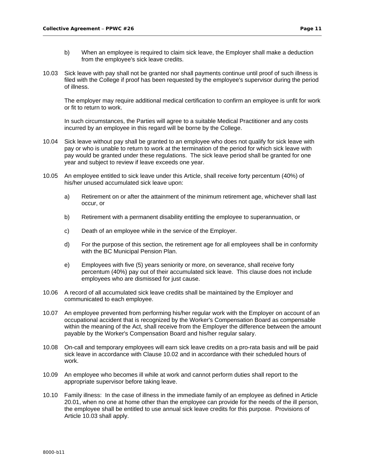- b) When an employee is required to claim sick leave, the Employer shall make a deduction from the employee's sick leave credits.
- 10.03 Sick leave with pay shall not be granted nor shall payments continue until proof of such illness is filed with the College if proof has been requested by the employee's supervisor during the period of illness.

The employer may require additional medical certification to confirm an employee is unfit for work or fit to return to work.

In such circumstances, the Parties will agree to a suitable Medical Practitioner and any costs incurred by an employee in this regard will be borne by the College.

- 10.04 Sick leave without pay shall be granted to an employee who does not qualify for sick leave with pay or who is unable to return to work at the termination of the period for which sick leave with pay would be granted under these regulations. The sick leave period shall be granted for one year and subject to review if leave exceeds one year.
- 10.05 An employee entitled to sick leave under this Article, shall receive forty percentum (40%) of his/her unused accumulated sick leave upon:
	- a) Retirement on or after the attainment of the minimum retirement age, whichever shall last occur, or
	- b) Retirement with a permanent disability entitling the employee to superannuation, or
	- c) Death of an employee while in the service of the Employer.
	- d) For the purpose of this section, the retirement age for all employees shall be in conformity with the BC Municipal Pension Plan.
	- e) Employees with five (5) years seniority or more, on severance, shall receive forty percentum (40%) pay out of their accumulated sick leave. This clause does not include employees who are dismissed for just cause.
- 10.06 A record of all accumulated sick leave credits shall be maintained by the Employer and communicated to each employee.
- 10.07 An employee prevented from performing his/her regular work with the Employer on account of an occupational accident that is recognized by the Worker's Compensation Board as compensable within the meaning of the Act, shall receive from the Employer the difference between the amount payable by the Worker's Compensation Board and his/her regular salary.
- 10.08 On-call and temporary employees will earn sick leave credits on a pro-rata basis and will be paid sick leave in accordance with Clause 10.02 and in accordance with their scheduled hours of work.
- 10.09 An employee who becomes ill while at work and cannot perform duties shall report to the appropriate supervisor before taking leave.
- 10.10 Family illness: In the case of illness in the immediate family of an employee as defined in Article 20.01, when no one at home other than the employee can provide for the needs of the ill person, the employee shall be entitled to use annual sick leave credits for this purpose. Provisions of Article 10.03 shall apply.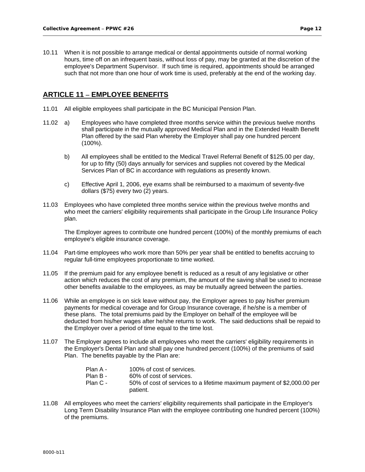10.11 When it is not possible to arrange medical or dental appointments outside of normal working hours, time off on an infrequent basis, without loss of pay, may be granted at the discretion of the employee's Department Supervisor. If such time is required, appointments should be arranged such that not more than one hour of work time is used, preferably at the end of the working day.

## **ARTICLE 11 – EMPLOYEE BENEFITS**

- 11.01 All eligible employees shall participate in the BC Municipal Pension Plan.
- 11.02 a) Employees who have completed three months service within the previous twelve months shall participate in the mutually approved Medical Plan and in the Extended Health Benefit Plan offered by the said Plan whereby the Employer shall pay one hundred percent (100%).
	- b) All employees shall be entitled to the Medical Travel Referral Benefit of \$125.00 per day, for up to fifty (50) days annually for services and supplies not covered by the Medical Services Plan of BC in accordance with regulations as presently known.
	- c) Effective April 1, 2006, eye exams shall be reimbursed to a maximum of seventy-five dollars (\$75) every two (2) years.
- 11.03 Employees who have completed three months service within the previous twelve months and who meet the carriers' eligibility requirements shall participate in the Group Life Insurance Policy plan.

The Employer agrees to contribute one hundred percent (100%) of the monthly premiums of each employee's eligible insurance coverage.

- 11.04 Part-time employees who work more than 50% per year shall be entitled to benefits accruing to regular full-time employees proportionate to time worked.
- 11.05 If the premium paid for any employee benefit is reduced as a result of any legislative or other action which reduces the cost of any premium, the amount of the saving shall be used to increase other benefits available to the employees, as may be mutually agreed between the parties.
- 11.06 While an employee is on sick leave without pay, the Employer agrees to pay his/her premium payments for medical coverage and for Group Insurance coverage, if he/she is a member of these plans. The total premiums paid by the Employer on behalf of the employee will be deducted from his/her wages after he/she returns to work. The said deductions shall be repaid to the Employer over a period of time equal to the time lost.
- 11.07 The Employer agrees to include all employees who meet the carriers' eligibility requirements in the Employer's Dental Plan and shall pay one hundred percent (100%) of the premiums of said Plan. The benefits payable by the Plan are:
	- Plan A 100% of cost of services. Plan B - 60% of cost of services.
		- Plan C 50% of cost of services to a lifetime maximum payment of \$2,000.00 per patient.
- 11.08 All employees who meet the carriers' eligibility requirements shall participate in the Employer's Long Term Disability Insurance Plan with the employee contributing one hundred percent (100%) of the premiums.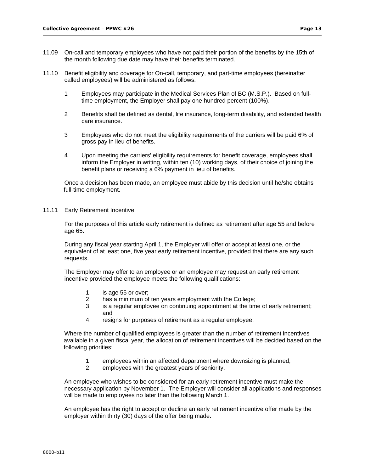- 11.09 On-call and temporary employees who have not paid their portion of the benefits by the 15th of the month following due date may have their benefits terminated.
- 11.10 Benefit eligibility and coverage for On-call, temporary, and part-time employees (hereinafter called employees) will be administered as follows:
	- 1 Employees may participate in the Medical Services Plan of BC (M.S.P.). Based on fulltime employment, the Employer shall pay one hundred percent (100%).
	- 2 Benefits shall be defined as dental, life insurance, long-term disability, and extended health care insurance.
	- 3 Employees who do not meet the eligibility requirements of the carriers will be paid 6% of gross pay in lieu of benefits.
	- 4 Upon meeting the carriers' eligibility requirements for benefit coverage, employees shall inform the Employer in writing, within ten (10) working days, of their choice of joining the benefit plans or receiving a 6% payment in lieu of benefits.

Once a decision has been made, an employee must abide by this decision until he/she obtains full-time employment.

#### 11.11 Early Retirement Incentive

For the purposes of this article early retirement is defined as retirement after age 55 and before age 65.

During any fiscal year starting April 1, the Employer will offer or accept at least one, or the equivalent of at least one, five year early retirement incentive, provided that there are any such requests.

The Employer may offer to an employee or an employee may request an early retirement incentive provided the employee meets the following qualifications:

- 1. is age 55 or over;
- 2. has a minimum of ten years employment with the College;
- 3. is a regular employee on continuing appointment at the time of early retirement; and
- 4. resigns for purposes of retirement as a regular employee.

Where the number of qualified employees is greater than the number of retirement incentives available in a given fiscal year, the allocation of retirement incentives will be decided based on the following priorities:

- 1. employees within an affected department where downsizing is planned;
- 2. employees with the greatest years of seniority.

An employee who wishes to be considered for an early retirement incentive must make the necessary application by November 1. The Employer will consider all applications and responses will be made to employees no later than the following March 1.

An employee has the right to accept or decline an early retirement incentive offer made by the employer within thirty (30) days of the offer being made.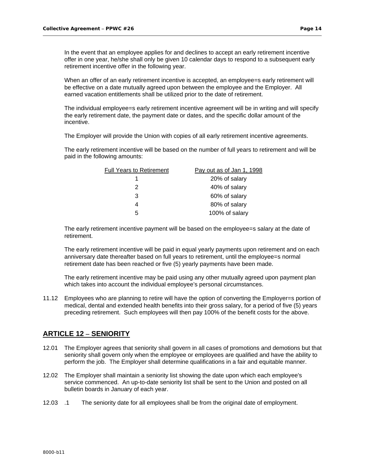In the event that an employee applies for and declines to accept an early retirement incentive offer in one year, he/she shall only be given 10 calendar days to respond to a subsequent early retirement incentive offer in the following year.

When an offer of an early retirement incentive is accepted, an employee=s early retirement will be effective on a date mutually agreed upon between the employee and the Employer. All earned vacation entitlements shall be utilized prior to the date of retirement.

The individual employee=s early retirement incentive agreement will be in writing and will specify the early retirement date, the payment date or dates, and the specific dollar amount of the incentive.

The Employer will provide the Union with copies of all early retirement incentive agreements.

The early retirement incentive will be based on the number of full years to retirement and will be paid in the following amounts:

| <b>Full Years to Retirement</b> | Pay out as of Jan 1, 1998 |
|---------------------------------|---------------------------|
|                                 | 20% of salary             |
| 2                               | 40% of salary             |
| 3                               | 60% of salary             |
|                                 | 80% of salary             |
| 5                               | 100% of salary            |

The early retirement incentive payment will be based on the employee=s salary at the date of retirement.

The early retirement incentive will be paid in equal yearly payments upon retirement and on each anniversary date thereafter based on full years to retirement, until the employee=s normal retirement date has been reached or five (5) yearly payments have been made.

The early retirement incentive may be paid using any other mutually agreed upon payment plan which takes into account the individual employee's personal circumstances.

11.12 Employees who are planning to retire will have the option of converting the Employer=s portion of medical, dental and extended health benefits into their gross salary, for a period of five (5) years preceding retirement. Such employees will then pay 100% of the benefit costs for the above.

## **ARTICLE 12 – SENIORITY**

- 12.01 The Employer agrees that seniority shall govern in all cases of promotions and demotions but that seniority shall govern only when the employee or employees are qualified and have the ability to perform the job. The Employer shall determine qualifications in a fair and equitable manner.
- 12.02 The Employer shall maintain a seniority list showing the date upon which each employee's service commenced. An up-to-date seniority list shall be sent to the Union and posted on all bulletin boards in January of each year.
- 12.03 .1 The seniority date for all employees shall be from the original date of employment.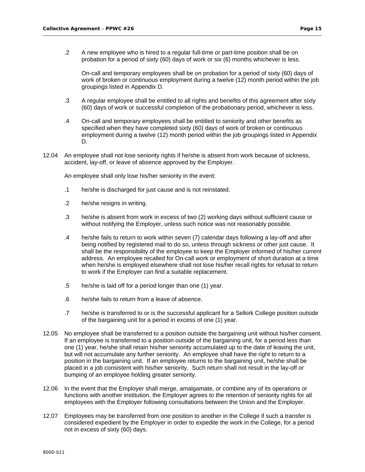.2 A new employee who is hired to a regular full-time or part-time position shall be on probation for a period of sixty (60) days of work or six (6) months whichever is less.

On-call and temporary employees shall be on probation for a period of sixty (60) days of work of broken or continuous employment during a twelve (12) month period within the job groupings listed in Appendix D.

- .3 A regular employee shall be entitled to all rights and benefits of this agreement after sixty (60) days of work or successful completion of the probationary period, whichever is less.
- .4 On-call and temporary employees shall be entitled to seniority and other benefits as specified when they have completed sixty (60) days of work of broken or continuous employment during a twelve (12) month period within the job groupings listed in Appendix D.
- 12.04 An employee shall not lose seniority rights if he/she is absent from work because of sickness, accident, lay-off, or leave of absence approved by the Employer.

An employee shall only lose his/her seniority in the event:

- .1 he/she is discharged for just cause and is not reinstated.
- .2 he/she resigns in writing.
- .3 he/she is absent from work in excess of two (2) working days without sufficient cause or without notifying the Employer, unless such notice was not reasonably possible.
- .4 he/she fails to return to work within seven (7) calendar days following a lay-off and after being notified by registered mail to do so, unless through sickness or other just cause. It shall be the responsibility of the employee to keep the Employer informed of his/her current address. An employee recalled for On-call work or employment of short duration at a time when he/she is employed elsewhere shall not lose his/her recall rights for refusal to return to work if the Employer can find a suitable replacement.
- .5 he/she is laid off for a period longer than one (1) year.
- .6 he/she fails to return from a leave of absence.
- .7 he/she is transferred to or is the successful applicant for a Selkirk College position outside of the bargaining unit for a period in excess of one (1) year.
- 12.05 No employee shall be transferred to a position outside the bargaining unit without his/her consent. If an employee is transferred to a position outside of the bargaining unit, for a period less than one (1) year, he/she shall retain his/her seniority accumulated up to the date of leaving the unit, but will not accumulate any further seniority. An employee shall have the right to return to a position in the bargaining unit. If an employee returns to the bargaining unit, he/she shall be placed in a job consistent with his/her seniority. Such return shall not result in the lay-off or bumping of an employee holding greater seniority.
- 12.06 In the event that the Employer shall merge, amalgamate, or combine any of its operations or functions with another institution, the Employer agrees to the retention of seniority rights for all employees with the Employer following consultations between the Union and the Employer.
- 12.07 Employees may be transferred from one position to another in the College if such a transfer is considered expedient by the Employer in order to expedite the work in the College, for a period not in excess of sixty (60) days.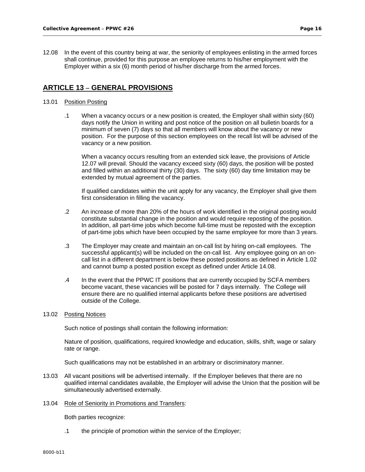12.08 In the event of this country being at war, the seniority of employees enlisting in the armed forces shall continue, provided for this purpose an employee returns to his/her employment with the Employer within a six (6) month period of his/her discharge from the armed forces.

## **ARTICLE 13 – GENERAL PROVISIONS**

#### 13.01 Position Posting

 .1 When a vacancy occurs or a new position is created, the Employer shall within sixty (60) days notify the Union in writing and post notice of the position on all bulletin boards for a minimum of seven (7) days so that all members will know about the vacancy or new position. For the purpose of this section employees on the recall list will be advised of the vacancy or a new position.

When a vacancy occurs resulting from an extended sick leave, the provisions of Article 12.07 will prevail. Should the vacancy exceed sixty (60) days, the position will be posted and filled within an additional thirty (30) days. The sixty (60) day time limitation may be extended by mutual agreement of the parties.

If qualified candidates within the unit apply for any vacancy, the Employer shall give them first consideration in filling the vacancy.

- .2 An increase of more than 20% of the hours of work identified in the original posting would constitute substantial change in the position and would require reposting of the position. In addition, all part-time jobs which become full-time must be reposted with the exception of part-time jobs which have been occupied by the same employee for more than 3 years.
- .3 The Employer may create and maintain an on-call list by hiring on-call employees. The successful applicant(s) will be included on the on-call list. Any employee going on an oncall list in a different department is below these posted positions as defined in Article 1.02 and cannot bump a posted position except as defined under Article 14.08.
- .4 In the event that the PPWC IT positions that are currently occupied by SCFA members become vacant, these vacancies will be posted for 7 days internally. The College will ensure there are no qualified internal applicants before these positions are advertised outside of the College.
- 13.02 Posting Notices

Such notice of postings shall contain the following information:

Nature of position, qualifications, required knowledge and education, skills, shift, wage or salary rate or range.

Such qualifications may not be established in an arbitrary or discriminatory manner.

- 13.03 All vacant positions will be advertised internally. If the Employer believes that there are no qualified internal candidates available, the Employer will advise the Union that the position will be simultaneously advertised externally.
- 13.04 Role of Seniority in Promotions and Transfers:

Both parties recognize:

.1 the principle of promotion within the service of the Employer;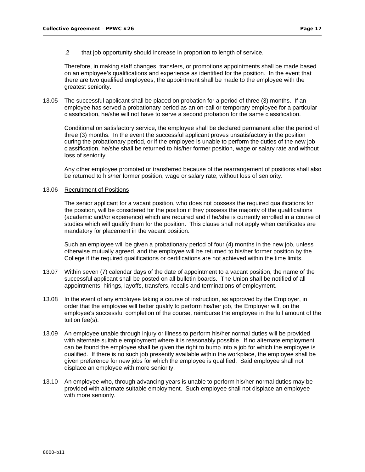.2 that job opportunity should increase in proportion to length of service.

Therefore, in making staff changes, transfers, or promotions appointments shall be made based on an employee's qualifications and experience as identified for the position. In the event that there are two qualified employees, the appointment shall be made to the employee with the greatest seniority.

13.05 The successful applicant shall be placed on probation for a period of three (3) months. If an employee has served a probationary period as an on-call or temporary employee for a particular classification, he/she will not have to serve a second probation for the same classification.

Conditional on satisfactory service, the employee shall be declared permanent after the period of three (3) months. In the event the successful applicant proves unsatisfactory in the position during the probationary period, or if the employee is unable to perform the duties of the new job classification, he/she shall be returned to his/her former position, wage or salary rate and without loss of seniority.

Any other employee promoted or transferred because of the rearrangement of positions shall also be returned to his/her former position, wage or salary rate, without loss of seniority.

#### 13.06 Recruitment of Positions

 The senior applicant for a vacant position, who does not possess the required qualifications for the position, will be considered for the position if they possess the majority of the qualifications (academic and/or experience) which are required and if he/she is currently enrolled in a course of studies which will qualify them for the position. This clause shall not apply when certificates are mandatory for placement in the vacant position.

Such an employee will be given a probationary period of four (4) months in the new job, unless otherwise mutually agreed, and the employee will be returned to his/her former position by the College if the required qualifications or certifications are not achieved within the time limits.

- 13.07 Within seven (7) calendar days of the date of appointment to a vacant position, the name of the successful applicant shall be posted on all bulletin boards. The Union shall be notified of all appointments, hirings, layoffs, transfers, recalls and terminations of employment.
- 13.08 In the event of any employee taking a course of instruction, as approved by the Employer, in order that the employee will better qualify to perform his/her job, the Employer will, on the employee's successful completion of the course, reimburse the employee in the full amount of the tuition fee(s).
- 13.09 An employee unable through injury or illness to perform his/her normal duties will be provided with alternate suitable employment where it is reasonably possible. If no alternate employment can be found the employee shall be given the right to bump into a job for which the employee is qualified. If there is no such job presently available within the workplace, the employee shall be given preference for new jobs for which the employee is qualified. Said employee shall not displace an employee with more seniority.
- 13.10 An employee who, through advancing years is unable to perform his/her normal duties may be provided with alternate suitable employment. Such employee shall not displace an employee with more seniority.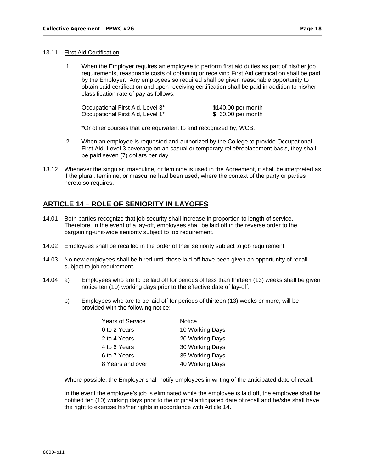#### 13.11 First Aid Certification

 .1 When the Employer requires an employee to perform first aid duties as part of his/her job requirements, reasonable costs of obtaining or receiving First Aid certification shall be paid by the Employer. Any employees so required shall be given reasonable opportunity to obtain said certification and upon receiving certification shall be paid in addition to his/her classification rate of pay as follows:

| Occupational First Aid, Level 3* | \$140.00 per month |
|----------------------------------|--------------------|
| Occupational First Aid, Level 1* | \$ 60.00 per month |

\*Or other courses that are equivalent to and recognized by, WCB.

- .2 When an employee is requested and authorized by the College to provide Occupational First Aid, Level 3 coverage on an casual or temporary relief/replacement basis, they shall be paid seven (7) dollars per day.
- 13.12 Whenever the singular, masculine, or feminine is used in the Agreement, it shall be interpreted as if the plural, feminine, or masculine had been used, where the context of the party or parties hereto so requires.

## **ARTICLE 14 – ROLE OF SENIORITY IN LAYOFFS**

- 14.01 Both parties recognize that job security shall increase in proportion to length of service. Therefore, in the event of a lay-off, employees shall be laid off in the reverse order to the bargaining-unit-wide seniority subject to job requirement.
- 14.02 Employees shall be recalled in the order of their seniority subject to job requirement.
- 14.03 No new employees shall be hired until those laid off have been given an opportunity of recall subject to job requirement.
- 14.04 a) Employees who are to be laid off for periods of less than thirteen (13) weeks shall be given notice ten (10) working days prior to the effective date of lay-off.
	- b) Employees who are to be laid off for periods of thirteen (13) weeks or more, will be provided with the following notice:

| <b>Years of Service</b> | Notice          |
|-------------------------|-----------------|
| 0 to 2 Years            | 10 Working Days |
| 2 to 4 Years            | 20 Working Days |
| 4 to 6 Years            | 30 Working Days |
| 6 to 7 Years            | 35 Working Days |
| 8 Years and over        | 40 Working Days |

Where possible, the Employer shall notify employees in writing of the anticipated date of recall.

In the event the employee's job is eliminated while the employee is laid off, the employee shall be notified ten (10) working days prior to the original anticipated date of recall and he/she shall have the right to exercise his/her rights in accordance with Article 14.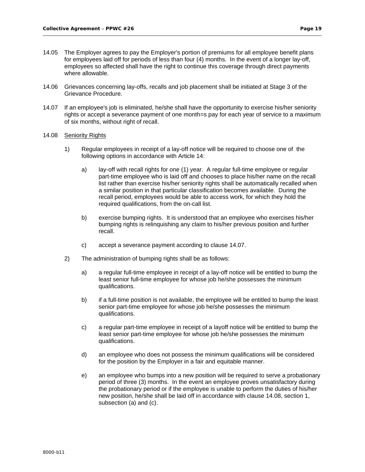- 14.05 The Employer agrees to pay the Employer's portion of premiums for all employee benefit plans for employees laid off for periods of less than four (4) months. In the event of a longer lay-off, employees so affected shall have the right to continue this coverage through direct payments where allowable.
- 14.06 Grievances concerning lay-offs, recalls and job placement shall be initiated at Stage 3 of the Grievance Procedure.
- 14.07 If an employee's job is eliminated, he/she shall have the opportunity to exercise his/her seniority rights or accept a severance payment of one month=s pay for each year of service to a maximum of six months, without right of recall.

#### 14.08 Seniority Rights

- 1) Regular employees in receipt of a lay-off notice will be required to choose one of the following options in accordance with Article 14:
	- a) lay-off with recall rights for one (1) year. A regular full-time employee or regular part-time employee who is laid off and chooses to place his/her name on the recall list rather than exercise his/her seniority rights shall be automatically recalled when a similar position in that particular classification becomes available. During the recall period, employees would be able to access work, for which they hold the required qualifications, from the on-call list.
	- b) exercise bumping rights. It is understood that an employee who exercises his/her bumping rights is relinquishing any claim to his/her previous position and further recall.
	- c) accept a severance payment according to clause 14.07.
- 2) The administration of bumping rights shall be as follows:
	- a) a regular full-time employee in receipt of a lay-off notice will be entitled to bump the least senior full-time employee for whose job he/she possesses the minimum qualifications.
	- b) if a full-time position is not available, the employee will be entitled to bump the least senior part-time employee for whose job he/she possesses the minimum qualifications.
	- c) a regular part-time employee in receipt of a layoff notice will be entitled to bump the least senior part-time employee for whose job he/she possesses the minimum qualifications.
	- d) an employee who does not possess the minimum qualifications will be considered for the position by the Employer in a fair and equitable manner.
	- e) an employee who bumps into a new position will be required to serve a probationary period of three (3) months. In the event an employee proves unsatisfactory during the probationary period or if the employee is unable to perform the duties of his/her new position, he/she shall be laid off in accordance with clause 14.08, section 1, subsection (a) and (c).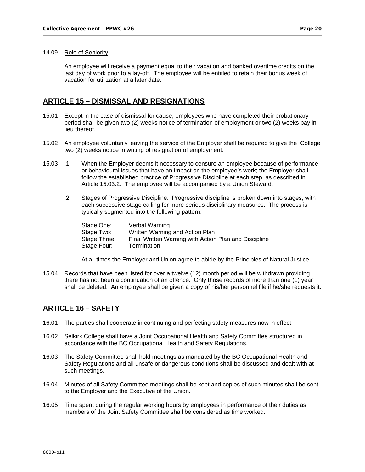#### 14.09 Role of Seniority

An employee will receive a payment equal to their vacation and banked overtime credits on the last day of work prior to a lay-off. The employee will be entitled to retain their bonus week of vacation for utilization at a later date.

#### **ARTICLE 15 – DISMISSAL AND RESIGNATIONS**

- 15.01 Except in the case of dismissal for cause, employees who have completed their probationary period shall be given two (2) weeks notice of termination of employment or two (2) weeks pay in lieu thereof.
- 15.02 An employee voluntarily leaving the service of the Employer shall be required to give the College two (2) weeks notice in writing of resignation of employment.
- 15.03 .1 When the Employer deems it necessary to censure an employee because of performance or behavioural issues that have an impact on the employee's work; the Employer shall follow the established practice of Progressive Discipline at each step, as described in Article 15.03.2. The employee will be accompanied by a Union Steward.
	- .2 Stages of Progressive Discipline: Progressive discipline is broken down into stages, with each successive stage calling for more serious disciplinary measures. The process is typically segmented into the following pattern:

| Verbal Warning                                        |
|-------------------------------------------------------|
| Written Warning and Action Plan                       |
| Final Written Warning with Action Plan and Discipline |
| Termination                                           |
|                                                       |

At all times the Employer and Union agree to abide by the Principles of Natural Justice.

15.04 Records that have been listed for over a twelve (12) month period will be withdrawn providing there has not been a continuation of an offence. Only those records of more than one (1) year shall be deleted. An employee shall be given a copy of his/her personnel file if he/she requests it.

#### **ARTICLE 16 – SAFETY**

- 16.01 The parties shall cooperate in continuing and perfecting safety measures now in effect.
- 16.02 Selkirk College shall have a Joint Occupational Health and Safety Committee structured in accordance with the BC Occupational Health and Safety Regulations.
- 16.03 The Safety Committee shall hold meetings as mandated by the BC Occupational Health and Safety Regulations and all unsafe or dangerous conditions shall be discussed and dealt with at such meetings.
- 16.04 Minutes of all Safety Committee meetings shall be kept and copies of such minutes shall be sent to the Employer and the Executive of the Union.
- 16.05 Time spent during the regular working hours by employees in performance of their duties as members of the Joint Safety Committee shall be considered as time worked.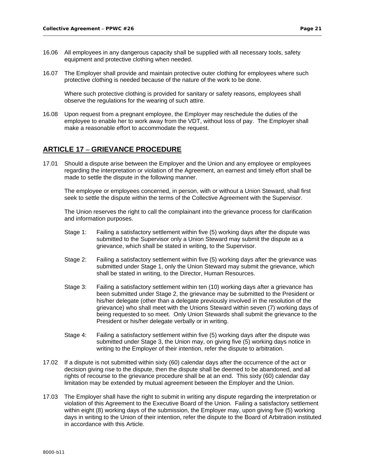- 16.06 All employees in any dangerous capacity shall be supplied with all necessary tools, safety equipment and protective clothing when needed.
- 16.07 The Employer shall provide and maintain protective outer clothing for employees where such protective clothing is needed because of the nature of the work to be done.

Where such protective clothing is provided for sanitary or safety reasons, employees shall observe the regulations for the wearing of such attire.

16.08 Upon request from a pregnant employee, the Employer may reschedule the duties of the employee to enable her to work away from the VDT, without loss of pay. The Employer shall make a reasonable effort to accommodate the request.

## **ARTICLE 17 – GRIEVANCE PROCEDURE**

17.01 Should a dispute arise between the Employer and the Union and any employee or employees regarding the interpretation or violation of the Agreement, an earnest and timely effort shall be made to settle the dispute in the following manner.

The employee or employees concerned, in person, with or without a Union Steward, shall first seek to settle the dispute within the terms of the Collective Agreement with the Supervisor.

The Union reserves the right to call the complainant into the grievance process for clarification and information purposes.

- Stage 1: Failing a satisfactory settlement within five (5) working days after the dispute was submitted to the Supervisor only a Union Steward may submit the dispute as a grievance, which shall be stated in writing, to the Supervisor.
- Stage 2: Failing a satisfactory settlement within five (5) working days after the grievance was submitted under Stage 1, only the Union Steward may submit the grievance, which shall be stated in writing, to the Director, Human Resources.
- Stage 3: Failing a satisfactory settlement within ten (10) working days after a grievance has been submitted under Stage 2, the grievance may be submitted to the President or his/her delegate (other than a delegate previously involved in the resolution of the grievance) who shall meet with the Unions Steward within seven (7) working days of being requested to so meet. Only Union Stewards shall submit the grievance to the President or his/her delegate verbally or in writing.
- Stage 4: Failing a satisfactory settlement within five (5) working days after the dispute was submitted under Stage 3, the Union may, on giving five (5) working days notice in writing to the Employer of their intention, refer the dispute to arbitration.
- 17.02 If a dispute is not submitted within sixty (60) calendar days after the occurrence of the act or decision giving rise to the dispute, then the dispute shall be deemed to be abandoned, and all rights of recourse to the grievance procedure shall be at an end. This sixty (60) calendar day limitation may be extended by mutual agreement between the Employer and the Union.
- 17.03 The Employer shall have the right to submit in writing any dispute regarding the interpretation or violation of this Agreement to the Executive Board of the Union. Failing a satisfactory settlement within eight (8) working days of the submission, the Employer may, upon giving five (5) working days in writing to the Union of their intention, refer the dispute to the Board of Arbitration instituted in accordance with this Article.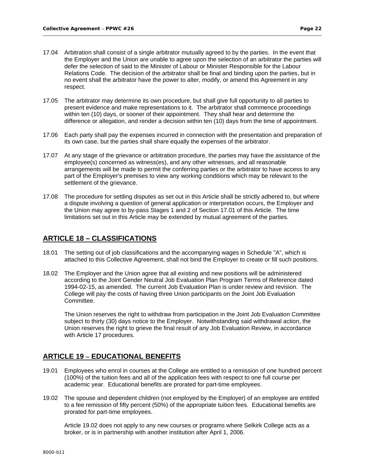- 17.04 Arbitration shall consist of a single arbitrator mutually agreed to by the parties. In the event that the Employer and the Union are unable to agree upon the selection of an arbitrator the parties will defer the selection of said to the Minister of Labour or Minister Responsible for the Labour Relations Code. The decision of the arbitrator shall be final and binding upon the parties, but in no event shall the arbitrator have the power to alter, modify, or amend this Agreement in any respect.
- 17.05 The arbitrator may determine its own procedure, but shall give full opportunity to all parties to present evidence and make representations to it. The arbitrator shall commence proceedings within ten (10) days, or sooner of their appointment. They shall hear and determine the difference or allegation, and render a decision within ten (10) days from the time of appointment.
- 17.06 Each party shall pay the expenses incurred in connection with the presentation and preparation of its own case, but the parties shall share equally the expenses of the arbitrator.
- 17.07 At any stage of the grievance or arbitration procedure, the parties may have the assistance of the employee(s) concerned as witness(es), and any other witnesses, and all reasonable arrangements will be made to permit the conferring parties or the arbitrator to have access to any part of the Employer's premises to view any working conditions which may be relevant to the settlement of the grievance.
- 17.08 The procedure for settling disputes as set out in this Article shall be strictly adhered to, but where a dispute involving a question of general application or interpretation occurs, the Employer and the Union may agree to by-pass Stages 1 and 2 of Section 17.01 of this Article. The time limitations set out in this Article may be extended by mutual agreement of the parties.

## **ARTICLE 18 – CLASSIFICATIONS**

- 18.01 The setting out of job classifications and the accompanying wages in Schedule "A", which is attached to this Collective Agreement, shall not bind the Employer to create or fill such positions.
- 18.02 The Employer and the Union agree that all existing and new positions will be administered according to the Joint Gender Neutral Job Evaluation Plan Program Terms of Reference dated 1994-02-15, as amended. The current Job Evaluation Plan is under review and revision. The College will pay the costs of having three Union participants on the Joint Job Evaluation Committee.

The Union reserves the right to withdraw from participation in the Joint Job Evaluation Committee subject to thirty (30) days notice to the Employer. Notwithstanding said withdrawal action, the Union reserves the right to grieve the final result of any Job Evaluation Review, in accordance with Article 17 procedures.

## **ARTICLE 19 – EDUCATIONAL BENEFITS**

- 19.01 Employees who enrol in courses at the College are entitled to a remission of one hundred percent (100%) of the tuition fees and all of the application fees with respect to one full course per academic year. Educational benefits are prorated for part-time employees.
- 19.02 The spouse and dependent children (not employed by the Employer) of an employee are entitled to a fee remission of fifty percent (50%) of the appropriate tuition fees. Educational benefits are prorated for part-time employees.

Article 19.02 does not apply to any new courses or programs where Selkirk College acts as a broker, or is in partnership with another institution after April 1, 2006.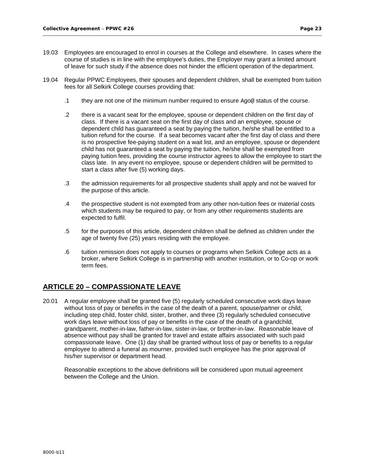- 19.03 Employees are encouraged to enrol in courses at the College and elsewhere. In cases where the course of studies is in line with the employee's duties, the Employer may grant a limited amount of leave for such study if the absence does not hinder the efficient operation of the department.
- 19.04 Regular PPWC Employees, their spouses and dependent children, shall be exempted from tuition fees for all Selkirk College courses providing that:
	- .1 they are not one of the minimum number required to ensure Ago@ status of the course.
	- .2 there is a vacant seat for the employee, spouse or dependent children on the first day of class. If there is a vacant seat on the first day of class and an employee, spouse or dependent child has guaranteed a seat by paying the tuition, he/she shall be entitled to a tuition refund for the course. If a seat becomes vacant after the first day of class and there is no prospective fee-paying student on a wait list, and an employee, spouse or dependent child has not guaranteed a seat by paying the tuition, he/she shall be exempted from paying tuition fees, providing the course instructor agrees to allow the employee to start the class late. In any event no employee, spouse or dependent children will be permitted to start a class after five (5) working days.
	- .3 the admission requirements for all prospective students shall apply and not be waived for the purpose of this article.
	- .4 the prospective student is not exempted from any other non-tuition fees or material costs which students may be required to pay, or from any other requirements students are expected to fulfil.
	- .5 for the purposes of this article, dependent children shall be defined as children under the age of twenty five (25) years residing with the employee.
	- .6 tuition remission does not apply to courses or programs when Selkirk College acts as a broker, where Selkirk College is in partnership with another institution, or to Co-op or work term fees.

## **ARTICLE 20 – COMPASSIONATE LEAVE**

20.01 A regular employee shall be granted five (5) regularly scheduled consecutive work days leave without loss of pay or benefits in the case of the death of a parent, spouse/partner or child, including step child, foster child, sister, brother, and three (3) regularly scheduled consecutive work days leave without loss of pay or benefits in the case of the death of a grandchild, grandparent, mother-in-law, father-in-law, sister-in-law, or brother-in-law. Reasonable leave of absence without pay shall be granted for travel and estate affairs associated with such paid compassionate leave. One (1) day shall be granted without loss of pay or benefits to a regular employee to attend a funeral as mourner, provided such employee has the prior approval of his/her supervisor or department head.

Reasonable exceptions to the above definitions will be considered upon mutual agreement between the College and the Union.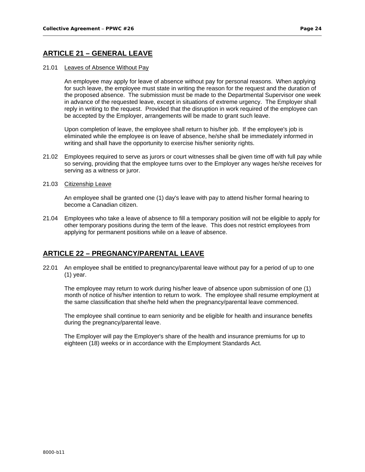## **ARTICLE 21 – GENERAL LEAVE**

#### 21.01 Leaves of Absence Without Pay

An employee may apply for leave of absence without pay for personal reasons. When applying for such leave, the employee must state in writing the reason for the request and the duration of the proposed absence. The submission must be made to the Departmental Supervisor one week in advance of the requested leave, except in situations of extreme urgency. The Employer shall reply in writing to the request. Provided that the disruption in work required of the employee can be accepted by the Employer, arrangements will be made to grant such leave.

Upon completion of leave, the employee shall return to his/her job. If the employee's job is eliminated while the employee is on leave of absence, he/she shall be immediately informed in writing and shall have the opportunity to exercise his/her seniority rights.

- 21.02 Employees required to serve as jurors or court witnesses shall be given time off with full pay while so serving, providing that the employee turns over to the Employer any wages he/she receives for serving as a witness or juror.
- 21.03 Citizenship Leave

An employee shall be granted one (1) day's leave with pay to attend his/her formal hearing to become a Canadian citizen.

21.04 Employees who take a leave of absence to fill a temporary position will not be eligible to apply for other temporary positions during the term of the leave. This does not restrict employees from applying for permanent positions while on a leave of absence.

## **ARTICLE 22 – PREGNANCY/PARENTAL LEAVE**

22.01 An employee shall be entitled to pregnancy/parental leave without pay for a period of up to one (1) year.

The employee may return to work during his/her leave of absence upon submission of one (1) month of notice of his/her intention to return to work. The employee shall resume employment at the same classification that she/he held when the pregnancy/parental leave commenced.

The employee shall continue to earn seniority and be eligible for health and insurance benefits during the pregnancy/parental leave.

The Employer will pay the Employer's share of the health and insurance premiums for up to eighteen (18) weeks or in accordance with the Employment Standards Act.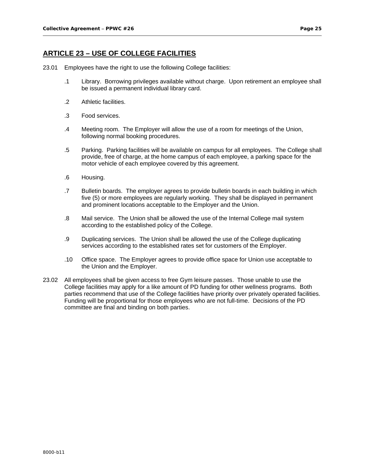## **ARTICLE 23 – USE OF COLLEGE FACILITIES**

- 23.01 Employees have the right to use the following College facilities:
	- .1 Library. Borrowing privileges available without charge. Upon retirement an employee shall be issued a permanent individual library card.
	- .2 Athletic facilities.
	- .3 Food services.
	- .4 Meeting room. The Employer will allow the use of a room for meetings of the Union, following normal booking procedures.
	- .5 Parking. Parking facilities will be available on campus for all employees. The College shall provide, free of charge, at the home campus of each employee, a parking space for the motor vehicle of each employee covered by this agreement.
	- .6 Housing.
	- .7 Bulletin boards. The employer agrees to provide bulletin boards in each building in which five (5) or more employees are regularly working. They shall be displayed in permanent and prominent locations acceptable to the Employer and the Union.
	- .8 Mail service. The Union shall be allowed the use of the Internal College mail system according to the established policy of the College.
	- .9 Duplicating services. The Union shall be allowed the use of the College duplicating services according to the established rates set for customers of the Employer.
	- .10 Office space. The Employer agrees to provide office space for Union use acceptable to the Union and the Employer.
- 23.02 All employees shall be given access to free Gym leisure passes. Those unable to use the College facilities may apply for a like amount of PD funding for other wellness programs. Both parties recommend that use of the College facilities have priority over privately operated facilities. Funding will be proportional for those employees who are not full-time. Decisions of the PD committee are final and binding on both parties.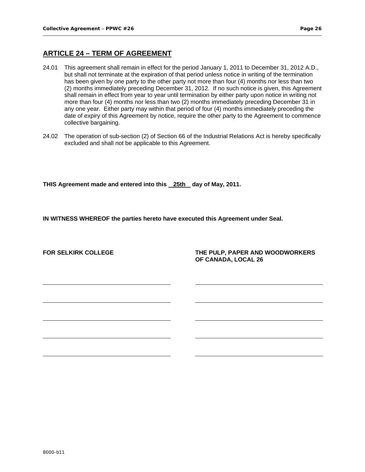## **ARTICLE 24 – TERM OF AGREEMENT**

- 24.01 This agreement shall remain in effect for the period January 1, 2011 to December 31, 2012 A.D., but shall not terminate at the expiration of that period unless notice in writing of the termination has been given by one party to the other party not more than four (4) months nor less than two (2) months immediately preceding December 31, 2012. If no such notice is given, this Agreement shall remain in effect from year to year until termination by either party upon notice in writing not more than four (4) months nor less than two (2) months immediately preceding December 31 in any one year. Either party may within that period of four (4) months immediately preceding the date of expiry of this Agreement by notice, require the other party to the Agreement to commence collective bargaining.
- 24.02 The operation of sub-section (2) of Section 66 of the Industrial Relations Act is hereby specifically excluded and shall not be applicable to this Agreement.

**THIS Agreement made and entered into this 25th day of May, 2011.** 

**IN WITNESS WHEREOF the parties hereto have executed this Agreement under Seal.** 

**FOR SELKIRK COLLEGE THE PULP, PAPER AND WOODWORKERS OF CANADA, LOCAL 26**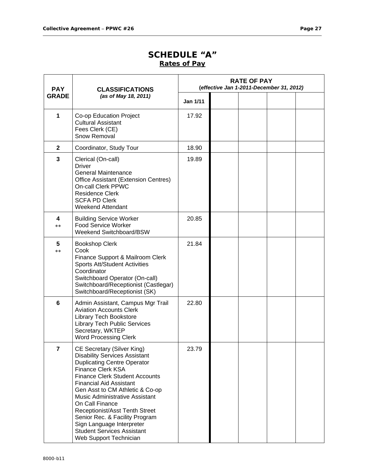# **SCHEDULE "A" Rates of Pay**

| <b>PAY</b>         | <b>CLASSIFICATIONS</b><br>(as of May 18, 2011)                                                                                                                                                                                                                                                                                                                                                                                                                          | <b>RATE OF PAY</b><br>(effective Jan 1-2011-December 31, 2012) |  |  |
|--------------------|-------------------------------------------------------------------------------------------------------------------------------------------------------------------------------------------------------------------------------------------------------------------------------------------------------------------------------------------------------------------------------------------------------------------------------------------------------------------------|----------------------------------------------------------------|--|--|
| <b>GRADE</b>       |                                                                                                                                                                                                                                                                                                                                                                                                                                                                         | Jan 1/11                                                       |  |  |
| 1                  | Co-op Education Project<br><b>Cultural Assistant</b><br>Fees Clerk (CE)<br>Snow Removal                                                                                                                                                                                                                                                                                                                                                                                 | 17.92                                                          |  |  |
| $\mathbf{2}$       | Coordinator, Study Tour                                                                                                                                                                                                                                                                                                                                                                                                                                                 | 18.90                                                          |  |  |
| 3                  | Clerical (On-call)<br><b>Driver</b><br><b>General Maintenance</b><br>Office Assistant (Extension Centres)<br>On-call Clerk PPWC<br><b>Residence Clerk</b><br><b>SCFA PD Clerk</b><br><b>Weekend Attendant</b>                                                                                                                                                                                                                                                           | 19.89                                                          |  |  |
| 4<br>$**$          | <b>Building Service Worker</b><br><b>Food Service Worker</b><br>Weekend Switchboard/BSW                                                                                                                                                                                                                                                                                                                                                                                 | 20.85                                                          |  |  |
| 5<br>$\ast$ $\ast$ | <b>Bookshop Clerk</b><br>Cook<br>Finance Support & Mailroom Clerk<br><b>Sports Att/Student Activities</b><br>Coordinator<br>Switchboard Operator (On-call)<br>Switchboard/Receptionist (Castlegar)<br>Switchboard/Receptionist (SK)                                                                                                                                                                                                                                     | 21.84                                                          |  |  |
| 6                  | Admin Assistant, Campus Mgr Trail<br><b>Aviation Accounts Clerk</b><br>Library Tech Bookstore<br><b>Library Tech Public Services</b><br>Secretary, WKTEP<br><b>Word Processing Clerk</b>                                                                                                                                                                                                                                                                                | 22.80                                                          |  |  |
| 7                  | CE Secretary (Silver King)<br><b>Disability Services Assistant</b><br><b>Duplicating Centre Operator</b><br><b>Finance Clerk KSA</b><br><b>Finance Clerk Student Accounts</b><br><b>Financial Aid Assistant</b><br>Gen Asst to CM Athletic & Co-op<br>Music Administrative Assistant<br>On Call Finance<br>Receptionist/Asst Tenth Street<br>Senior Rec. & Facility Program<br>Sign Language Interpreter<br><b>Student Services Assistant</b><br>Web Support Technician | 23.79                                                          |  |  |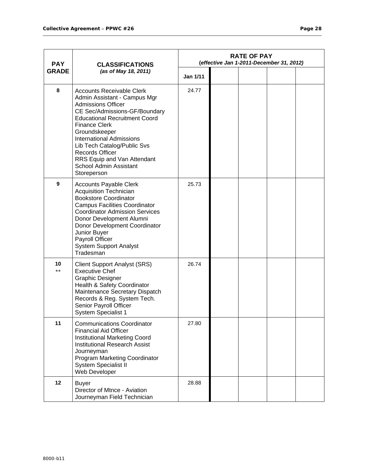| <b>PAY</b>   | <b>CLASSIFICATIONS</b><br>(as of May 18, 2011)                                                                                                                                                                                                                                                                                                                                             | <b>RATE OF PAY</b><br>(effective Jan 1-2011-December 31, 2012) |  |  |
|--------------|--------------------------------------------------------------------------------------------------------------------------------------------------------------------------------------------------------------------------------------------------------------------------------------------------------------------------------------------------------------------------------------------|----------------------------------------------------------------|--|--|
| <b>GRADE</b> |                                                                                                                                                                                                                                                                                                                                                                                            | Jan 1/11                                                       |  |  |
| 8            | <b>Accounts Receivable Clerk</b><br>Admin Assistant - Campus Mgr<br><b>Admissions Officer</b><br>CE Sec/Admissions-GF/Boundary<br><b>Educational Recruitment Coord</b><br><b>Finance Clerk</b><br>Groundskeeper<br><b>International Admissions</b><br>Lib Tech Catalog/Public Svs<br><b>Records Officer</b><br>RRS Equip and Van Attendant<br><b>School Admin Assistant</b><br>Storeperson | 24.77                                                          |  |  |
| 9            | <b>Accounts Payable Clerk</b><br><b>Acquisition Technician</b><br><b>Bookstore Coordinator</b><br><b>Campus Facilities Coordinator</b><br><b>Coordinator Admission Services</b><br>Donor Development Alumni<br>Donor Development Coordinator<br>Junior Buyer<br>Payroll Officer<br><b>System Support Analyst</b><br>Tradesman                                                              | 25.73                                                          |  |  |
| 10<br>**     | <b>Client Support Analyst (SRS)</b><br><b>Executive Chef</b><br><b>Graphic Designer</b><br>Health & Safety Coordinator<br>Maintenance Secretary Dispatch<br>Records & Reg. System Tech.<br>Senior Payroll Officer<br><b>System Specialist 1</b>                                                                                                                                            | 26.74                                                          |  |  |
| 11           | <b>Communications Coordinator</b><br><b>Financial Aid Officer</b><br><b>Institutional Marketing Coord</b><br><b>Institutional Research Assist</b><br>Journeyman<br>Program Marketing Coordinator<br>System Specialist II<br>Web Developer                                                                                                                                                  | 27.80                                                          |  |  |
| 12           | <b>Buyer</b><br>Director of Mtnce - Aviation<br>Journeyman Field Technician                                                                                                                                                                                                                                                                                                                | 28.88                                                          |  |  |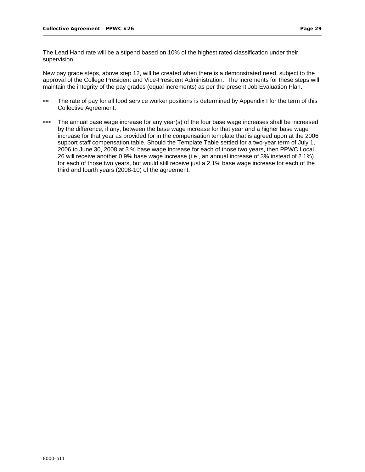The Lead Hand rate will be a stipend based on 10% of the highest rated classification under their supervision.

New pay grade steps, above step 12, will be created when there is a demonstrated need, subject to the approval of the College President and Vice-President Administration. The increments for these steps will maintain the integrity of the pay grades (equal increments) as per the present Job Evaluation Plan.

- \*\* The rate of pay for all food service worker positions is determined by Appendix I for the term of this Collective Agreement.
- The annual base wage increase for any year(s) of the four base wage increases shall be increased by the difference, if any, between the base wage increase for that year and a higher base wage increase for that year as provided for in the compensation template that is agreed upon at the 2006 support staff compensation table. Should the Template Table settled for a two-year term of July 1, 2006 to June 30, 2008 at 3 % base wage increase for each of those two years, then PPWC Local 26 will receive another 0.9% base wage increase (i.e., an annual increase of 3% instead of 2.1%) for each of those two years, but would still receive just a 2.1% base wage increase for each of the third and fourth years (2008-10) of the agreement.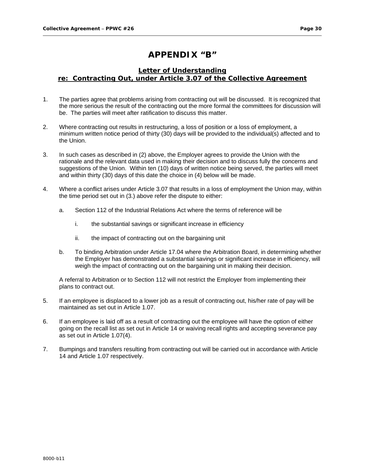# **APPENDIX "B"**

#### **Letter of Understanding re: Contracting Out, under Article 3.07 of the Collective Agreement**

- 1. The parties agree that problems arising from contracting out will be discussed. It is recognized that the more serious the result of the contracting out the more formal the committees for discussion will be. The parties will meet after ratification to discuss this matter.
- 2. Where contracting out results in restructuring, a loss of position or a loss of employment, a minimum written notice period of thirty (30) days will be provided to the individual(s) affected and to the Union.
- 3. In such cases as described in (2) above, the Employer agrees to provide the Union with the rationale and the relevant data used in making their decision and to discuss fully the concerns and suggestions of the Union. Within ten (10) days of written notice being served, the parties will meet and within thirty (30) days of this date the choice in (4) below will be made.
- 4. Where a conflict arises under Article 3.07 that results in a loss of employment the Union may, within the time period set out in (3.) above refer the dispute to either:
	- a. Section 112 of the Industrial Relations Act where the terms of reference will be
		- i. the substantial savings or significant increase in efficiency
		- ii. the impact of contracting out on the bargaining unit
	- b. To binding Arbitration under Article 17.04 where the Arbitration Board, in determining whether the Employer has demonstrated a substantial savings or significant increase in efficiency, will weigh the impact of contracting out on the bargaining unit in making their decision.

A referral to Arbitration or to Section 112 will not restrict the Employer from implementing their plans to contract out.

- 5. If an employee is displaced to a lower job as a result of contracting out, his/her rate of pay will be maintained as set out in Article 1.07.
- 6. If an employee is laid off as a result of contracting out the employee will have the option of either going on the recall list as set out in Article 14 or waiving recall rights and accepting severance pay as set out in Article 1.07(4).
- 7. Bumpings and transfers resulting from contracting out will be carried out in accordance with Article 14 and Article 1.07 respectively.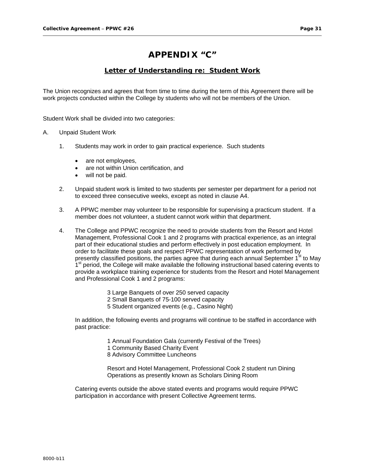## **APPENDIX "C"**

#### **Letter of Understanding re: Student Work**

The Union recognizes and agrees that from time to time during the term of this Agreement there will be work projects conducted within the College by students who will not be members of the Union.

Student Work shall be divided into two categories:

- A. Unpaid Student Work
	- 1. Students may work in order to gain practical experience. Such students
		- are not employees,
		- are not within Union certification, and
		- will not be paid.
	- 2. Unpaid student work is limited to two students per semester per department for a period not to exceed three consecutive weeks, except as noted in clause A4.
	- 3. A PPWC member may volunteer to be responsible for supervising a practicum student. If a member does not volunteer, a student cannot work within that department.
	- 4. The College and PPWC recognize the need to provide students from the Resort and Hotel Management, Professional Cook 1 and 2 programs with practical experience, as an integral part of their educational studies and perform effectively in post education employment. In order to facilitate these goals and respect PPWC representation of work performed by presently classified positions, the parties agree that during each annual September 1<sup>st</sup> to May 1<sup>st</sup> period, the College will make available the following instructional based catering events to provide a workplace training experience for students from the Resort and Hotel Management and Professional Cook 1 and 2 programs:
		- 3 Large Banquets of over 250 served capacity
		- 2 Small Banquets of 75-100 served capacity
		- 5 Student organized events (e.g., Casino Night)

In addition, the following events and programs will continue to be staffed in accordance with past practice:

1 Annual Foundation Gala (currently Festival of the Trees)

1 Community Based Charity Event

8 Advisory Committee Luncheons

Resort and Hotel Management, Professional Cook 2 student run Dining Operations as presently known as Scholars Dining Room

Catering events outside the above stated events and programs would require PPWC participation in accordance with present Collective Agreement terms.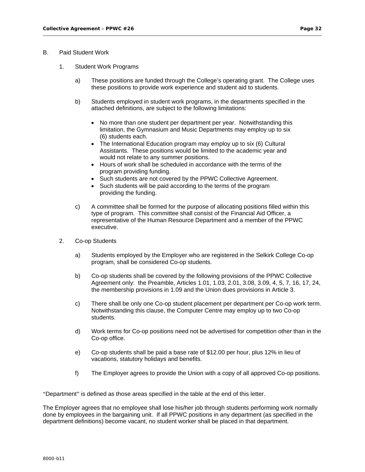#### B. Paid Student Work

- 1. Student Work Programs
	- a) These positions are funded through the College's operating grant. The College uses these positions to provide work experience and student aid to students.
	- b) Students employed in student work programs, in the departments specified in the attached definitions, are subject to the following limitations:
		- No more than one student per department per year. Notwithstanding this limitation, the Gymnasium and Music Departments may employ up to six (6) students each.
		- The International Education program may employ up to six (6) Cultural Assistants. These positions would be limited to the academic year and would not relate to any summer positions.
		- Hours of work shall be scheduled in accordance with the terms of the program providing funding.
		- Such students are not covered by the PPWC Collective Agreement.
		- Such students will be paid according to the terms of the program providing the funding.
	- c) A committee shall be formed for the purpose of allocating positions filled within this type of program. This committee shall consist of the Financial Aid Officer, a representative of the Human Resource Department and a member of the PPWC executive.
- 2. Co-op Students
	- a) Students employed by the Employer who are registered in the Selkirk College Co-op program, shall be considered Co-op students.
	- b) Co-op students shall be covered by the following provisions of the PPWC Collective Agreement only: the Preamble, Articles 1.01, 1.03, 2.01, 3.08, 3.09, 4, 5, 7, 16, 17, 24, the membership provisions in 1.09 and the Union dues provisions in Article 3.
	- c) There shall be only one Co-op student placement per department per Co-op work term. Notwithstanding this clause, the Computer Centre may employ up to two Co-op students.
	- d) Work terms for Co-op positions need not be advertised for competition other than in the Co-op office.
	- e) Co-op students shall be paid a base rate of \$12.00 per hour, plus 12% in lieu of vacations, statutory holidays and benefits.
	- f) The Employer agrees to provide the Union with a copy of all approved Co-op positions.

"Department" is defined as those areas specified in the table at the end of this letter.

The Employer agrees that no employee shall lose his/her job through students performing work normally done by employees in the bargaining unit. If all PPWC positions in any department (as specified in the department definitions) become vacant, no student worker shall be placed in that department.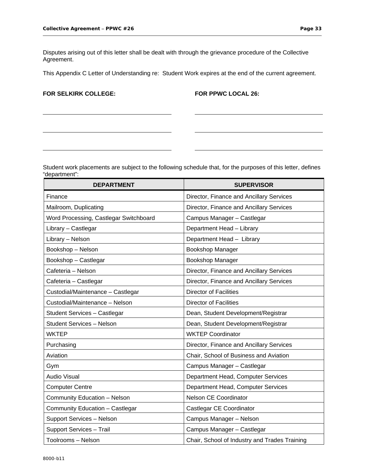Disputes arising out of this letter shall be dealt with through the grievance procedure of the Collective Agreement.

This Appendix C Letter of Understanding re: Student Work expires at the end of the current agreement.

**FOR SELKIRK COLLEGE: FOR PPWC LOCAL 26:** 

Student work placements are subject to the following schedule that, for the purposes of this letter, defines "department":

| <b>DEPARTMENT</b>                      | <b>SUPERVISOR</b>                             |
|----------------------------------------|-----------------------------------------------|
| Finance                                | Director, Finance and Ancillary Services      |
| Mailroom, Duplicating                  | Director, Finance and Ancillary Services      |
| Word Processing, Castlegar Switchboard | Campus Manager - Castlegar                    |
| Library - Castlegar                    | Department Head - Library                     |
| Library - Nelson                       | Department Head - Library                     |
| Bookshop - Nelson                      | Bookshop Manager                              |
| Bookshop - Castlegar                   | Bookshop Manager                              |
| Cafeteria - Nelson                     | Director, Finance and Ancillary Services      |
| Cafeteria - Castlegar                  | Director, Finance and Ancillary Services      |
| Custodial/Maintenance - Castlegar      | <b>Director of Facilities</b>                 |
| Custodial/Maintenance - Nelson         | <b>Director of Facilities</b>                 |
| Student Services - Castlegar           | Dean, Student Development/Registrar           |
| <b>Student Services - Nelson</b>       | Dean, Student Development/Registrar           |
| <b>WKTEP</b>                           | <b>WKTEP Coordinator</b>                      |
| Purchasing                             | Director, Finance and Ancillary Services      |
| Aviation                               | Chair, School of Business and Aviation        |
| Gym                                    | Campus Manager - Castlegar                    |
| <b>Audio Visual</b>                    | Department Head, Computer Services            |
| <b>Computer Centre</b>                 | Department Head, Computer Services            |
| Community Education - Nelson           | Nelson CE Coordinator                         |
| Community Education - Castlegar        | Castlegar CE Coordinator                      |
| Support Services - Nelson              | Campus Manager - Nelson                       |
| Support Services - Trail               | Campus Manager - Castlegar                    |
| Toolrooms - Nelson                     | Chair, School of Industry and Trades Training |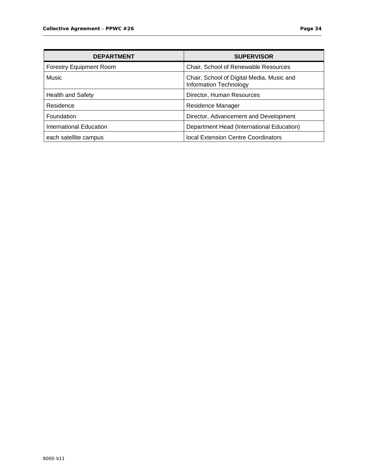| <b>DEPARTMENT</b>              | <b>SUPERVISOR</b>                                                   |
|--------------------------------|---------------------------------------------------------------------|
| <b>Forestry Equipment Room</b> | Chair, School of Renewable Resources                                |
| Music                          | Chair, School of Digital Media, Music and<br>Information Technology |
| Health and Safety              | Director, Human Resources                                           |
| Residence                      | Residence Manager                                                   |
| Foundation                     | Director, Advancement and Development                               |
| International Education        | Department Head (International Education)                           |
| each satellite campus          | local Extension Centre Coordinators                                 |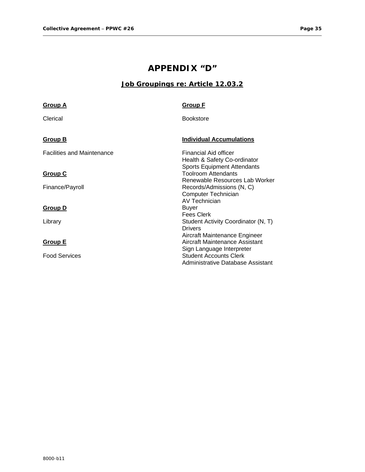# **APPENDIX "D"**

## **Job Groupings re: Article 12.03.2**

| <u>Group A</u>                    | <b>Group F</b>                                                                              |
|-----------------------------------|---------------------------------------------------------------------------------------------|
| Clerical                          | <b>Bookstore</b>                                                                            |
| <u>Group B</u>                    | <b>Individual Accumulations</b>                                                             |
| <b>Facilities and Maintenance</b> | Financial Aid officer<br>Health & Safety Co-ordinator<br><b>Sports Equipment Attendants</b> |
| <b>Group C</b>                    | <b>Toolroom Attendants</b><br>Renewable Resources Lab Worker                                |
| Finance/Payroll                   | Records/Admissions (N, C)<br>Computer Technician<br>AV Technician                           |
| <u>Group D</u>                    | <b>Buyer</b><br>Fees Clerk                                                                  |
| Library                           | Student Activity Coordinator (N, T)<br><b>Drivers</b><br>Aircraft Maintenance Engineer      |
| <u>Group E</u>                    | Aircraft Maintenance Assistant<br>Sign Language Interpreter                                 |
| <b>Food Services</b>              | <b>Student Accounts Clerk</b><br>Administrative Database Assistant                          |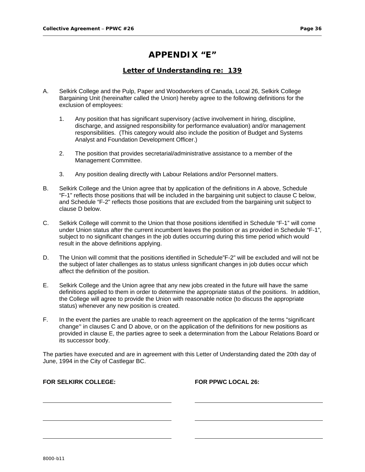# **APPENDIX "E"**

## **Letter of Understanding re: 139**

- A. Selkirk College and the Pulp, Paper and Woodworkers of Canada, Local 26, Selkirk College Bargaining Unit (hereinafter called the Union) hereby agree to the following definitions for the exclusion of employees:
	- 1. Any position that has significant supervisory (active involvement in hiring, discipline, discharge, and assigned responsibility for performance evaluation) and/or management responsibilities. (This category would also include the position of Budget and Systems Analyst and Foundation Development Officer.)
	- 2. The position that provides secretarial/administrative assistance to a member of the Management Committee.
	- 3. Any position dealing directly with Labour Relations and/or Personnel matters.
- B. Selkirk College and the Union agree that by application of the definitions in A above, Schedule "F-1" reflects those positions that will be included in the bargaining unit subject to clause C below, and Schedule "F-2" reflects those positions that are excluded from the bargaining unit subject to clause D below.
- C. Selkirk College will commit to the Union that those positions identified in Schedule "F-1" will come under Union status after the current incumbent leaves the position or as provided in Schedule "F-1", subject to no significant changes in the job duties occurring during this time period which would result in the above definitions applying.
- D. The Union will commit that the positions identified in Schedule"F-2" will be excluded and will not be the subject of later challenges as to status unless significant changes in job duties occur which affect the definition of the position.
- E. Selkirk College and the Union agree that any new jobs created in the future will have the same definitions applied to them in order to determine the appropriate status of the positions. In addition, the College will agree to provide the Union with reasonable notice (to discuss the appropriate status) whenever any new position is created.
- F. In the event the parties are unable to reach agreement on the application of the terms "significant change" in clauses C and D above, or on the application of the definitions for new positions as provided in clause E, the parties agree to seek a determination from the Labour Relations Board or its successor body.

The parties have executed and are in agreement with this Letter of Understanding dated the 20th day of June, 1994 in the City of Castlegar BC.

#### **FOR SELKIRK COLLEGE: FOR PPWC LOCAL 26:**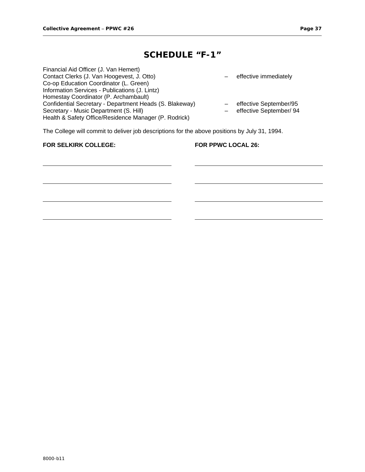# **SCHEDULE "F-1"**

| Financial Aid Officer (J. Van Hemert)                   |                         |
|---------------------------------------------------------|-------------------------|
| Contact Clerks (J. Van Hoogevest, J. Otto)              | effective immediately   |
| Co-op Education Coordinator (L. Green)                  |                         |
| Information Services - Publications (J. Lintz)          |                         |
| Homestay Coordinator (P. Archambault)                   |                         |
| Confidential Secretary - Department Heads (S. Blakeway) | effective September/95  |
| Secretary - Music Department (S. Hill)                  | effective September/ 94 |
| Health & Safety Office/Residence Manager (P. Rodrick)   |                         |

The College will commit to deliver job descriptions for the above positions by July 31, 1994.

#### FOR SELKIRK COLLEGE: FOR PPWC LOCAL 26: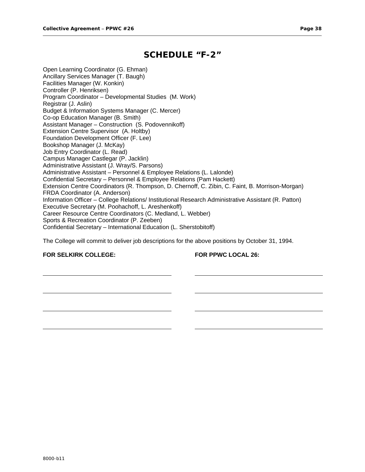# **SCHEDULE "F-2"**

Open Learning Coordinator (G. Ehman) Ancillary Services Manager (T. Baugh) Facilities Manager (W. Konkin) Controller (P. Henriksen) Program Coordinator – Developmental Studies (M. Work) Registrar (J. Aslin) Budget & Information Systems Manager (C. Mercer) Co-op Education Manager (B. Smith) Assistant Manager – Construction (S. Podovennikoff) Extension Centre Supervisor (A. Holtby) Foundation Development Officer (F. Lee) Bookshop Manager (J. McKay) Job Entry Coordinator (L. Read) Campus Manager Castlegar (P. Jacklin) Administrative Assistant (J. Wray/S. Parsons) Administrative Assistant – Personnel & Employee Relations (L. Lalonde) Confidential Secretary – Personnel & Employee Relations (Pam Hackett) Extension Centre Coordinators (R. Thompson, D. Chernoff, C. Zibin, C. Faint, B. Morrison-Morgan) FRDA Coordinator (A. Anderson) Information Officer – College Relations/ Institutional Research Administrative Assistant (R. Patton) Executive Secretary (M. Poohachoff, L. Areshenkoff) Career Resource Centre Coordinators (C. Medland, L. Webber) Sports & Recreation Coordinator (P. Zeeben) Confidential Secretary – International Education (L. Sherstobitoff)

The College will commit to deliver job descriptions for the above positions by October 31, 1994.

#### **FOR SELKIRK COLLEGE: FOR PPWC LOCAL 26:**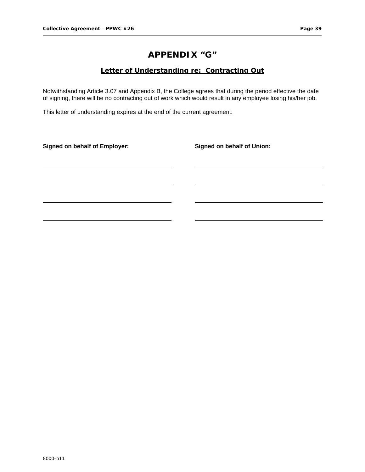# **APPENDIX "G"**

#### **Letter of Understanding re: Contracting Out**

Notwithstanding Article 3.07 and Appendix B, the College agrees that during the period effective the date of signing, there will be no contracting out of work which would result in any employee losing his/her job.

This letter of understanding expires at the end of the current agreement.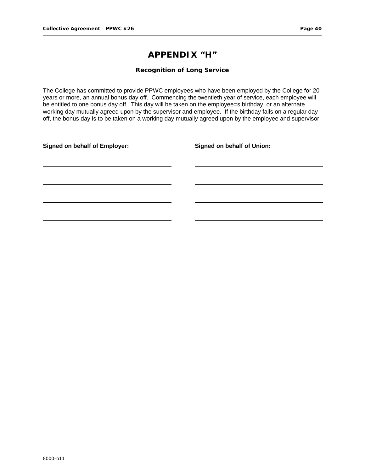# **APPENDIX "H"**

#### **Recognition of Long Service**

The College has committed to provide PPWC employees who have been employed by the College for 20 years or more, an annual bonus day off. Commencing the twentieth year of service, each employee will be entitled to one bonus day off. This day will be taken on the employee=s birthday, or an alternate working day mutually agreed upon by the supervisor and employee. If the birthday falls on a regular day off, the bonus day is to be taken on a working day mutually agreed upon by the employee and supervisor.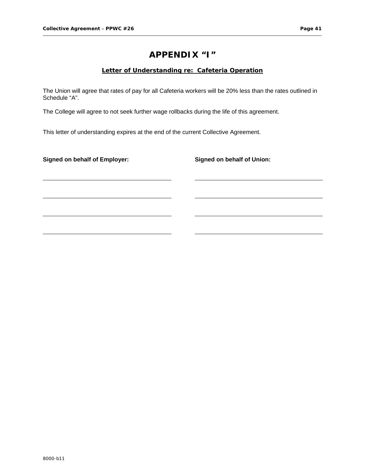# **APPENDIX "I"**

#### **Letter of Understanding re: Cafeteria Operation**

The Union will agree that rates of pay for all Cafeteria workers will be 20% less than the rates outlined in Schedule "A".

The College will agree to not seek further wage rollbacks during the life of this agreement.

This letter of understanding expires at the end of the current Collective Agreement.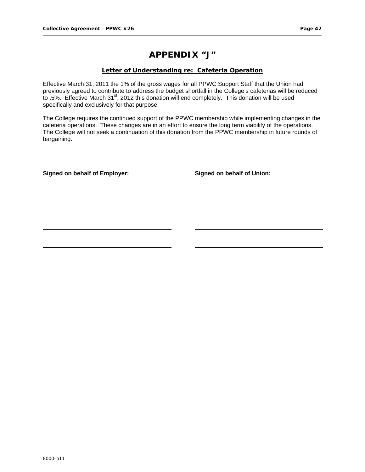# **APPENDIX "J"**

#### **Letter of Understanding re: Cafeteria Operation**

Effective March 31, 2011 the 1% of the gross wages for all PPWC Support Staff that the Union had previously agreed to contribute to address the budget shortfall in the College's cafeterias will be reduced to .5%. Effective March 31st, 2012 this donation will end completely. This donation will be used specifically and exclusively for that purpose.

The College requires the continued support of the PPWC membership while implementing changes in the cafeteria operations. These changes are in an effort to ensure the long term viability of the operations. The College will not seek a continuation of this donation from the PPWC membership in future rounds of bargaining.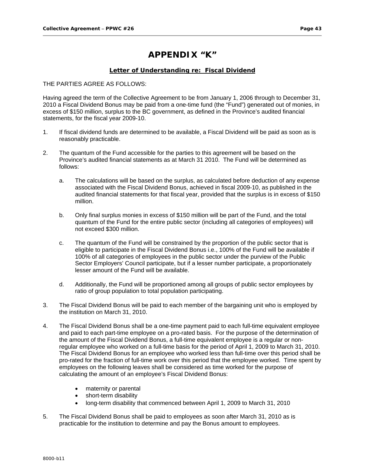# **APPENDIX "K"**

#### **Letter of Understanding re: Fiscal Dividend**

#### THE PARTIES AGREE AS FOLLOWS:

Having agreed the term of the Collective Agreement to be from January 1, 2006 through to December 31, 2010 a Fiscal Dividend Bonus may be paid from a one-time fund (the "Fund") generated out of monies, in excess of \$150 million, surplus to the BC government, as defined in the Province's audited financial statements, for the fiscal year 2009-10.

- 1. If fiscal dividend funds are determined to be available, a Fiscal Dividend will be paid as soon as is reasonably practicable.
- 2. The quantum of the Fund accessible for the parties to this agreement will be based on the Province's audited financial statements as at March 31 2010. The Fund will be determined as follows:
	- a. The calculations will be based on the surplus, as calculated before deduction of any expense associated with the Fiscal Dividend Bonus, achieved in fiscal 2009-10, as published in the audited financial statements for that fiscal year, provided that the surplus is in excess of \$150 million.
	- b. Only final surplus monies in excess of \$150 million will be part of the Fund, and the total quantum of the Fund for the entire public sector (including all categories of employees) will not exceed \$300 million.
	- c. The quantum of the Fund will be constrained by the proportion of the public sector that is eligible to participate in the Fiscal Dividend Bonus i.e., 100% of the Fund will be available if 100% of all categories of employees in the public sector under the purview of the Public Sector Employers' Council participate, but if a lesser number participate, a proportionately lesser amount of the Fund will be available.
	- d. Additionally, the Fund will be proportioned among all groups of public sector employees by ratio of group population to total population participating.
- 3. The Fiscal Dividend Bonus will be paid to each member of the bargaining unit who is employed by the institution on March 31, 2010.
- 4. The Fiscal Dividend Bonus shall be a one-time payment paid to each full-time equivalent employee and paid to each part-time employee on a pro-rated basis. For the purpose of the determination of the amount of the Fiscal Dividend Bonus, a full-time equivalent employee is a regular or nonregular employee who worked on a full-time basis for the period of April 1, 2009 to March 31, 2010. The Fiscal Dividend Bonus for an employee who worked less than full-time over this period shall be pro-rated for the fraction of full-time work over this period that the employee worked. Time spent by employees on the following leaves shall be considered as time worked for the purpose of calculating the amount of an employee's Fiscal Dividend Bonus:
	- maternity or parental
	- short-term disability
	- long-term disability that commenced between April 1, 2009 to March 31, 2010
- 5. The Fiscal Dividend Bonus shall be paid to employees as soon after March 31, 2010 as is practicable for the institution to determine and pay the Bonus amount to employees.